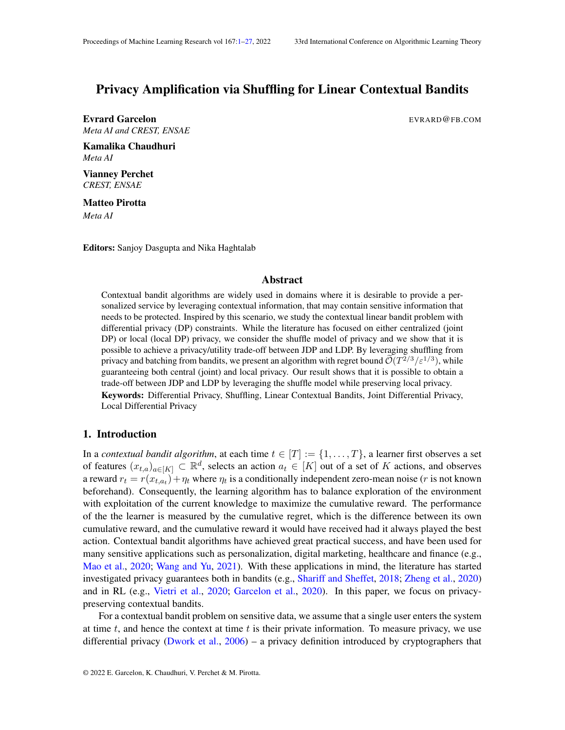# <span id="page-0-0"></span>Privacy Amplification via Shuffling for Linear Contextual Bandits

Evrard Garcelon **Example 2008** EVRARD@FB.COM *Meta AI and CREST, ENSAE*

Kamalika Chaudhuri *Meta AI*

Vianney Perchet *CREST, ENSAE*

Matteo Pirotta *Meta AI*

Editors: Sanjoy Dasgupta and Nika Haghtalab

#### Abstract

Contextual bandit algorithms are widely used in domains where it is desirable to provide a personalized service by leveraging contextual information, that may contain sensitive information that needs to be protected. Inspired by this scenario, we study the contextual linear bandit problem with differential privacy (DP) constraints. While the literature has focused on either centralized (joint DP) or local (local DP) privacy, we consider the shuffle model of privacy and we show that it is possible to achieve a privacy/utility trade-off between JDP and LDP. By leveraging shuffling from privacy and batching from bandits, we present an algorithm with regret bound  $\tilde{\mathcal{O}}(T^{2/3}/\varepsilon^{1/3})$ , while guaranteeing both central (joint) and local privacy. Our result shows that it is possible to obtain a trade-off between JDP and LDP by leveraging the shuffle model while preserving local privacy. Keywords: Differential Privacy, Shuffling, Linear Contextual Bandits, Joint Differential Privacy, Local Differential Privacy

#### 1. Introduction

In a *contextual bandit algorithm*, at each time  $t \in [T] := \{1, \ldots, T\}$ , a learner first observes a set of features  $(x_{t,a})_{a \in [K]} \subset \mathbb{R}^d$ , selects an action  $a_t \in [K]$  out of a set of K actions, and observes a reward  $r_t = r(x_{t,a_t}) + \eta_t$  where  $\eta_t$  is a conditionally independent zero-mean noise (*r* is not known beforehand). Consequently, the learning algorithm has to balance exploration of the environment with exploitation of the current knowledge to maximize the cumulative reward. The performance of the the learner is measured by the cumulative regret, which is the difference between its own cumulative reward, and the cumulative reward it would have received had it always played the best action. Contextual bandit algorithms have achieved great practical success, and have been used for many sensitive applications such as personalization, digital marketing, healthcare and finance (e.g., [Mao et al.,](#page-14-0) [2020;](#page-14-0) [Wang and Yu,](#page-15-0) [2021\)](#page-15-0). With these applications in mind, the literature has started investigated privacy guarantees both in bandits (e.g., [Shariff and Sheffet,](#page-14-1) [2018;](#page-14-1) [Zheng et al.,](#page-15-1) [2020\)](#page-15-1) and in RL (e.g., [Vietri et al.,](#page-15-2) [2020;](#page-15-2) [Garcelon et al.,](#page-14-2) [2020\)](#page-14-2). In this paper, we focus on privacypreserving contextual bandits.

For a contextual bandit problem on sensitive data, we assume that a single user enters the system at time  $t$ , and hence the context at time  $t$  is their private information. To measure privacy, we use differential privacy [\(Dwork et al.,](#page-14-3) [2006\)](#page-14-3) – a privacy definition introduced by cryptographers that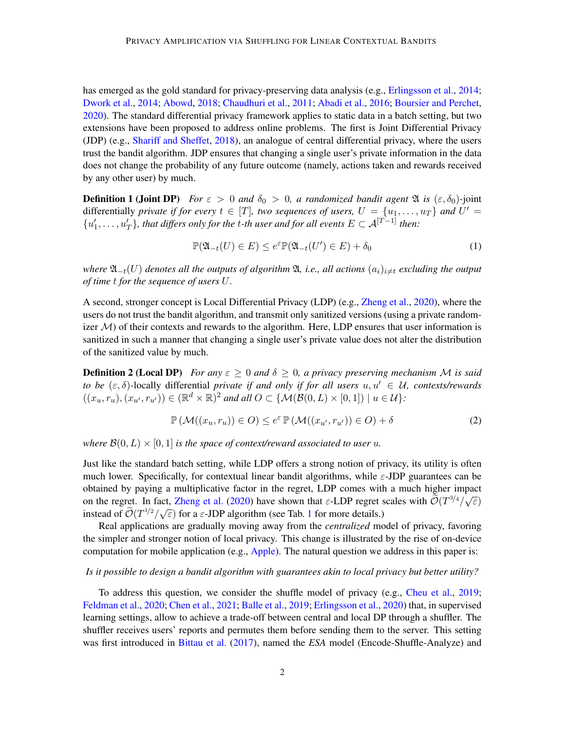has emerged as the gold standard for privacy-preserving data analysis (e.g., [Erlingsson et al.,](#page-14-4) [2014;](#page-14-4) [Dwork et al.,](#page-14-5) [2014;](#page-14-5) [Abowd,](#page-13-0) [2018;](#page-13-0) [Chaudhuri et al.,](#page-13-1) [2011;](#page-13-1) [Abadi et al.,](#page-13-2) [2016;](#page-13-2) [Boursier and Perchet,](#page-13-3) [2020\)](#page-13-3). The standard differential privacy framework applies to static data in a batch setting, but two extensions have been proposed to address online problems. The first is Joint Differential Privacy (JDP) (e.g., [Shariff and Sheffet,](#page-14-1) [2018\)](#page-14-1), an analogue of central differential privacy, where the users trust the bandit algorithm. JDP ensures that changing a single user's private information in the data does not change the probability of any future outcome (namely, actions taken and rewards received by any other user) by much.

**Definition 1 (Joint DP)** *For*  $\varepsilon > 0$  *and*  $\delta_0 > 0$ , *a randomized bandit agent*  $\mathfrak{A}$  *is*  $(\varepsilon, \delta_0)$ -joint differentially *private if for every*  $t \in [T]$ , two sequences of users,  $U = \{u_1, \ldots, u_T\}$  and  $U' =$  $\{u'_1, \ldots, u'_T\}$ , that differs only for the *t*-th user and for all events  $E \subset A^{[T-1]}$  then:

$$
\mathbb{P}(\mathfrak{A}_{-t}(U) \in E) \le e^{\varepsilon} \mathbb{P}(\mathfrak{A}_{-t}(U') \in E) + \delta_0 \tag{1}
$$

*where*  $\mathfrak{A}_{-t}(U)$  *denotes all the outputs of algorithm*  $\mathfrak{A}$ *, i.e., all actions*  $(a_i)_{i\neq t}$  *excluding the output of time* t *for the sequence of users* U*.*

A second, stronger concept is Local Differential Privacy (LDP) (e.g., [Zheng et al.,](#page-15-1) [2020\)](#page-15-1), where the users do not trust the bandit algorithm, and transmit only sanitized versions (using a private randomizer  $M$ ) of their contexts and rewards to the algorithm. Here, LDP ensures that user information is sanitized in such a manner that changing a single user's private value does not alter the distribution of the sanitized value by much.

**Definition 2 (Local DP)** *For any*  $\epsilon \geq 0$  *and*  $\delta \geq 0$ *, a privacy preserving mechanism* M *is said to be*  $(\varepsilon, \delta)$ -locally differential *private if and only if for all users*  $u, u' \in U$ *, contexts/rewards*  $((x_u, r_u), (x_{u'}, r_{u'})) \in (\mathbb{R}^d \times \mathbb{R})^2$  and all  $O \subset \{ \mathcal{M}(\mathcal{B}(0, L) \times [0, 1]) \mid u \in \mathcal{U} \}$ :

$$
\mathbb{P}\left(\mathcal{M}((x_u, r_u)) \in O\right) \le e^{\varepsilon} \mathbb{P}\left(\mathcal{M}((x_{u'}, r_{u'})) \in O\right) + \delta \tag{2}
$$

*where*  $\mathcal{B}(0, L) \times [0, 1]$  *is the space of context/reward associated to user u.* 

Just like the standard batch setting, while LDP offers a strong notion of privacy, its utility is often much lower. Specifically, for contextual linear bandit algorithms, while  $\varepsilon$ -JDP guarantees can be obtained by paying a multiplicative factor in the regret, LDP comes with a much higher impact on the regret. In fact, [Zheng et al.](#page-15-1) [\(2020\)](#page-15-1) have shown that  $\varepsilon$ -LDP regret scales with  $\widetilde{\mathcal{O}}(T^{3/4}/\sqrt{\varepsilon})$ on the regret. In Tact, Zheng et al. (2020) have shown that  $\varepsilon$ -EDF regrets instead of  $\widetilde{\mathcal{O}}(T^{1/2}/\sqrt{\varepsilon})$  $\widetilde{\mathcal{O}}(T^{1/2}/\sqrt{\varepsilon})$  $\widetilde{\mathcal{O}}(T^{1/2}/\sqrt{\varepsilon})$  for a  $\varepsilon$ -JDP algorithm (see Tab. 1 for more details.)

Real applications are gradually moving away from the *centralized* model of privacy, favoring the simpler and stronger notion of local privacy. This change is illustrated by the rise of on-device computation for mobile application (e.g., [Apple\)](#page-13-4). The natural question we address in this paper is:

## *Is it possible to design a bandit algorithm with guarantees akin to local privacy but better utility?*

To address this question, we consider the shuffle model of privacy (e.g., [Cheu et al.,](#page-13-5) [2019;](#page-13-5) [Feldman et al.,](#page-14-6) [2020;](#page-14-6) [Chen et al.,](#page-13-6) [2021;](#page-13-6) [Balle et al.,](#page-13-7) [2019;](#page-13-7) [Erlingsson et al.,](#page-14-7) [2020\)](#page-14-7) that, in supervised learning settings, allow to achieve a trade-off between central and local DP through a shuffler. The shuffler receives users' reports and permutes them before sending them to the server. This setting was first introduced in [Bittau et al.](#page-13-8) [\(2017\)](#page-13-8), named the *ESA* model (Encode-Shuffle-Analyze) and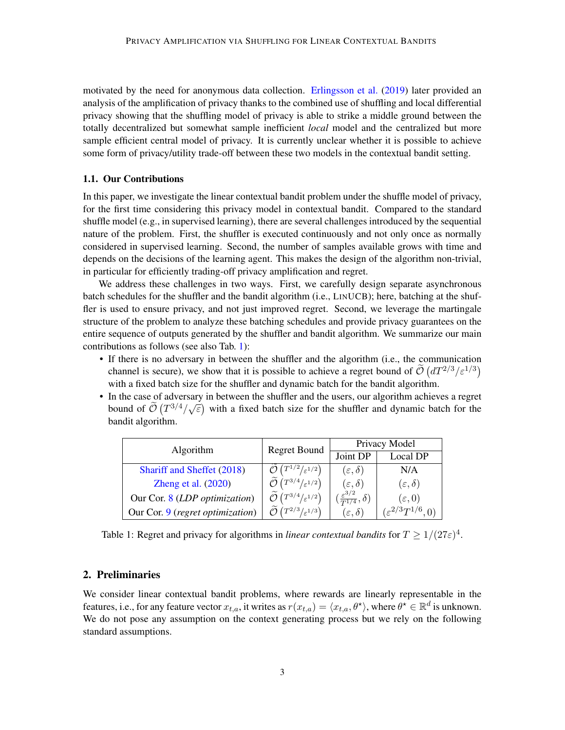motivated by the need for anonymous data collection. [Erlingsson et al.](#page-14-8) [\(2019\)](#page-14-8) later provided an analysis of the amplification of privacy thanks to the combined use of shuffling and local differential privacy showing that the shuffling model of privacy is able to strike a middle ground between the totally decentralized but somewhat sample inefficient *local* model and the centralized but more sample efficient central model of privacy. It is currently unclear whether it is possible to achieve some form of privacy/utility trade-off between these two models in the contextual bandit setting.

#### 1.1. Our Contributions

In this paper, we investigate the linear contextual bandit problem under the shuffle model of privacy, for the first time considering this privacy model in contextual bandit. Compared to the standard shuffle model (e.g., in supervised learning), there are several challenges introduced by the sequential nature of the problem. First, the shuffler is executed continuously and not only once as normally considered in supervised learning. Second, the number of samples available grows with time and depends on the decisions of the learning agent. This makes the design of the algorithm non-trivial, in particular for efficiently trading-off privacy amplification and regret.

We address these challenges in two ways. First, we carefully design separate asynchronous batch schedules for the shuffler and the bandit algorithm (i.e., LINUCB); here, batching at the shuffler is used to ensure privacy, and not just improved regret. Second, we leverage the martingale structure of the problem to analyze these batching schedules and provide privacy guarantees on the entire sequence of outputs generated by the shuffler and bandit algorithm. We summarize our main contributions as follows (see also Tab. [1\)](#page-2-0):

- If there is no adversary in between the shuffler and the algorithm (i.e., the communication channel is secure), we show that it is possible to achieve a regret bound of  $\tilde{\mathcal{O}}(dT^{2/3}/\varepsilon^{1/3})$ with a fixed batch size for the shuffler and dynamic batch for the bandit algorithm.
- In the case of adversary in between the shuffler and the users, our algorithm achieves a regret bound of  $\tilde{\mathcal{O}}(T^{3/4}/\sqrt{\epsilon})$  with a fixed batch size for the shuffler and dynamic batch for the bandit algorithm.

| Algorithm                        | Regret Bound                                                 | Privacy Model                                |                                |
|----------------------------------|--------------------------------------------------------------|----------------------------------------------|--------------------------------|
|                                  |                                                              | Joint DP                                     | Local DP                       |
| Shariff and Sheffet (2018)       | $(T^{1/2}/\varepsilon^{1/2})$                                | $(\varepsilon, \delta)$                      | N/A                            |
| Zheng et al. $(2020)$            | $\widetilde{\mathcal{O}}$ $(T^{3/4}/_{\varepsilon^{1/2}})$   | $(\varepsilon,\delta)$                       | $(\varepsilon,\delta)$         |
| Our Cor. 8 (LDP optimization)    | $\left(T^{3/4}/\varepsilon^{1/2}\right)$                     | $(\frac{\varepsilon^{3/2}}{T^{1/4}},\delta)$ | $(\varepsilon,0)$              |
| Our Cor. 9 (regret optimization) | $\widetilde{\phantom{m}}$<br>$T T^{2/3} /_{\varepsilon} 1/3$ | $(\varepsilon, \delta)$                      | $(\varepsilon^{2/3}T^{1/6},0)$ |

<span id="page-2-0"></span>Table 1: Regret and privacy for algorithms in *linear contextual bandits* for  $T \ge 1/(27\varepsilon)^4$ .

## <span id="page-2-1"></span>2. Preliminaries

We consider linear contextual bandit problems, where rewards are linearly representable in the features, i.e., for any feature vector  $x_{t,a}$ , it writes as  $r(x_{t,a}) = \langle x_{t,a}, \theta^* \rangle$ , where  $\theta^* \in \mathbb{R}^d$  is unknown. We do not pose any assumption on the context generating process but we rely on the following standard assumptions.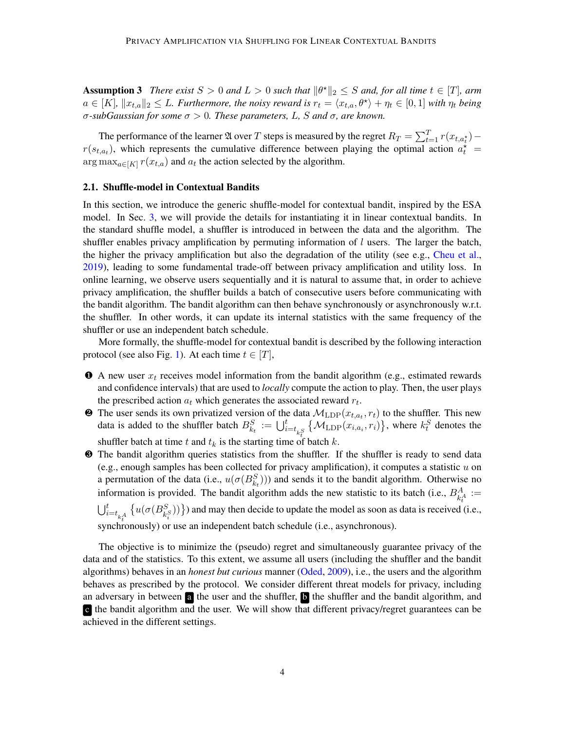**Assumption 3** There exist  $S > 0$  and  $L > 0$  such that  $\|\theta^*\|_2 \leq S$  and, for all time  $t \in [T]$ , arm  $a \in [K]$ ,  $||x_{t,a}||_2 \leq L$ *. Furthermore, the noisy reward is*  $r_t = \langle x_{t,a}, \theta^* \rangle + \eta_t \in [0,1]$  *with*  $\eta_t$  *being* σ*-subGaussian for some* σ > 0*. These parameters,* L*,* S *and* σ*, are known.*

The performance of the learner  $\mathfrak A$  over T steps is measured by the regret  $R_T = \sum_{t=1}^T r(x_{t,a_t^*})$  $r(s_{t,a_t})$ , which represents the cumulative difference between playing the optimal action  $a_t^*$  =  $\arg \max_{a \in [K]} r(x_{t,a})$  and  $a_t$  the action selected by the algorithm.

#### 2.1. Shuffle-model in Contextual Bandits

In this section, we introduce the generic shuffle-model for contextual bandit, inspired by the ESA model. In Sec. [3,](#page-5-0) we will provide the details for instantiating it in linear contextual bandits. In the standard shuffle model, a shuffler is introduced in between the data and the algorithm. The shuffler enables privacy amplification by permuting information of  $l$  users. The larger the batch, the higher the privacy amplification but also the degradation of the utility (see e.g., [Cheu et al.,](#page-13-5) [2019\)](#page-13-5), leading to some fundamental trade-off between privacy amplification and utility loss. In online learning, we observe users sequentially and it is natural to assume that, in order to achieve privacy amplification, the shuffler builds a batch of consecutive users before communicating with the bandit algorithm. The bandit algorithm can then behave synchronously or asynchronously w.r.t. the shuffler. In other words, it can update its internal statistics with the same frequency of the shuffler or use an independent batch schedule.

More formally, the shuffle-model for contextual bandit is described by the following interaction protocol (see also Fig. [1\)](#page-4-0). At each time  $t \in [T]$ ,

- $\bullet$  A new user  $x_t$  receives model information from the bandit algorithm (e.g., estimated rewards and confidence intervals) that are used to *locally* compute the action to play. Then, the user plays the prescribed action  $a_t$  which generates the associated reward  $r_t$ .
- $\bullet$  The user sends its own privatized version of the data  $M_{\text{LDP}}(x_{t,a_t}, r_t)$  to the shuffler. This new data is added to the shuffler batch  $B_{k_t}^S := \bigcup_{i=t_{k_t^S}}^t \{ \mathcal{M}_{\text{LDP}}(x_{i,a_i}, r_i) \}$ , where  $k_t^S$  denotes the shuffler batch at time t and  $t_k$  is the starting time of batch k.
- ❸ The bandit algorithm queries statistics from the shuffler. If the shuffler is ready to send data (e.g., enough samples has been collected for privacy amplification), it computes a statistic  $u$  on a permutation of the data (i.e.,  $u(\sigma(B_{k_t}^S))$ ) and sends it to the bandit algorithm. Otherwise no information is provided. The bandit algorithm adds the new statistic to its batch (i.e.,  $B_{k_t^A}^A$  :=  $\bigcup_{i=t_{k+1}}^{t} \{u(\sigma(B_{k+1}^S))\}\}\$  and may then decide to update the model as soon as data is received (i.e., synchronously) or use an independent batch schedule (i.e., asynchronous).

The objective is to minimize the (pseudo) regret and simultaneously guarantee privacy of the data and of the statistics. To this extent, we assume all users (including the shuffler and the bandit algorithms) behaves in an *honest but curious* manner [\(Oded,](#page-14-9) [2009\)](#page-14-9), i.e., the users and the algorithm behaves as prescribed by the protocol. We consider different threat models for privacy, including an adversary in between a the user and the shuffler, b the shuffler and the bandit algorithm, and c the bandit algorithm and the user. We will show that different privacy/regret guarantees can be achieved in the different settings.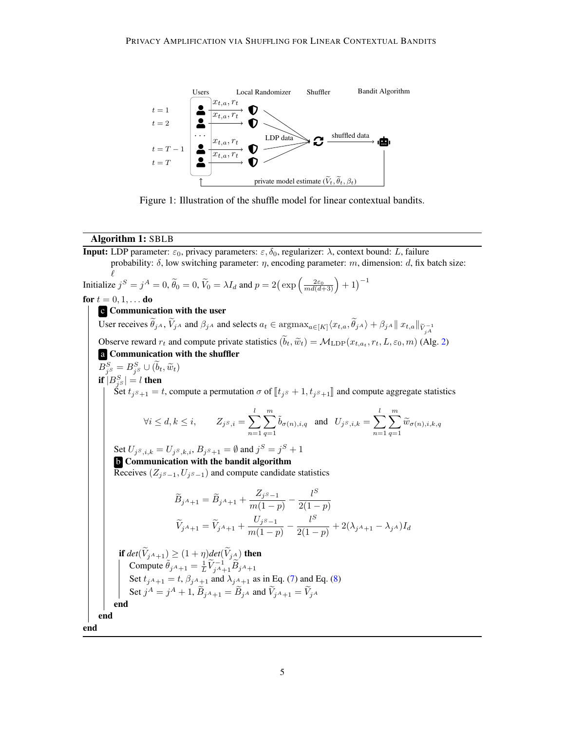

<span id="page-4-0"></span>Figure 1: Illustration of the shuffle model for linear contextual bandits.

#### Algorithm 1: SBLB

<span id="page-4-1"></span>**Input:** LDP parameter:  $\varepsilon_0$ , privacy parameters:  $\varepsilon$ ,  $\delta_0$ , regularizer:  $\lambda$ , context bound: L, failure probability:  $\delta$ , low switching parameter:  $\eta$ , encoding parameter:  $m$ , dimension:  $d$ , fix batch size:  $\ell$ Initialize  $j^S = j^A = 0$ ,  $\widetilde{\theta}_0 = 0$ ,  $\widetilde{V}_0 = \lambda I_d$  and  $p = 2(\exp\left(\frac{2\varepsilon_0}{md(d+3)}\right) + 1)^{-1}$ **for**  $t = 0, 1, ...$  **do** c Communication with the user User receives  $\theta_j$  *A*,  $V_j$  *A* and  $\beta_j$  *A* and selects  $a_t \in \text{argmax}_{a \in [K]} \langle x_{t,a}, \theta_j \rangle + \beta_j$  *A*  $|| x_{t,a} ||_{\widetilde{V}_{j}^{-1}}$ Observe reward  $r_t$  and compute private statistics  $(b_t, \tilde{w}_t) = \mathcal{M}_{\text{LDP}}(x_{t, a_t}, r_t, L, \varepsilon_0, m)$  (Alg. [2\)](#page-16-0) a Communication with the shuffler  $B_{j^S}^S = B_{j^S}^S \cup (\tilde{b}_t, \tilde{w}_t)$ if  $|B_{j^S}^S|=l$  then Set  $t_{j^s+1} = t$ , compute a permutation  $\sigma$  of  $[\![t_{j^s} + 1, t_{j^s+1}]\!]$  and compute aggregate statistics  $\forall i \leq d, k \leq i, \qquad Z_{j^S,i} = \sum^l$  $n=1$  $\sum_{ }^m$  $q=1$  $\tilde{b}_{\sigma(n),i,q}$  and  $U_{j^S,i,k} = \sum^l$  $n=1$  $\sum_{ }^{\infty}$  $\sum_{q=1}\widetilde{w}_{\sigma(n),i,k,q}$ Set  $U_{j^S,i,k} = U_{j^S,k,i}, B_{j^S+1} = \emptyset$  and  $j^S = j^S + 1$ **b** Communication with the bandit algorithm Receives ( $Z_{i<sup>S</sup>−1}$ ,  $U_{i<sup>S</sup>−1}$ ) and compute candidate statistics  $\widetilde{B}_{j^A+1} = \widetilde{B}_{j^A+1} + \frac{Z_{j^S-1}}{m(1-n)}$  $\frac{Z_{jS-1}}{m(1-p)} - \frac{l^S}{2(1-p)}$  $2(1-p)$  $\widetilde{V}_{j^A+1} = \widetilde{V}_{j^A+1} + \frac{U_{j^S-1}}{m(1-n)}$  $\frac{U_j s_{-1}}{m(1-p)} - \frac{l^S}{2(1-p)}$  $\frac{1}{2(1-p)}+2(\lambda_{j^A+1}-\lambda_{j^A})I_d$ **if**  $det(V_{jA+1}) \geq (1+\eta)det(V_{jA})$  **then** Compute  $\tilde{\theta}_{jA+1} = \frac{1}{L} \tilde{V}_{jA+1}^{-1} \tilde{B}_{jA+1}$ Set  $t_{jA+1} = t$ ,  $\beta_{jA+1}$  and  $\lambda_{jA+1}$  as in Eq. [\(7\)](#page-10-0) and Eq. [\(8\)](#page-11-0) Set  $j^A = j^A + 1$ ,  $\widetilde{B}_{jA+1} = \widetilde{B}_{jA}$  and  $\widetilde{V}_{jA+1} = \widetilde{V}_{jA}$ end end end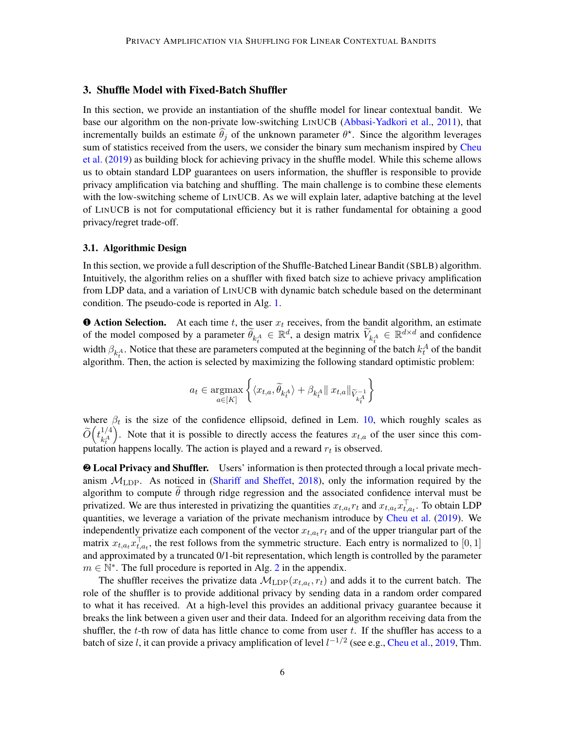## <span id="page-5-0"></span>3. Shuffle Model with Fixed-Batch Shuffler

In this section, we provide an instantiation of the shuffle model for linear contextual bandit. We base our algorithm on the non-private low-switching LINUCB [\(Abbasi-Yadkori et al.,](#page-13-9) [2011\)](#page-13-9), that incrementally builds an estimate  $\hat{\theta}_j$  of the unknown parameter  $\theta^*$ . Since the algorithm leverages sum of statistics received from the users, we consider the binary sum mechanism inspired by [Cheu](#page-13-5) [et al.](#page-13-5) [\(2019\)](#page-13-5) as building block for achieving privacy in the shuffle model. While this scheme allows us to obtain standard LDP guarantees on users information, the shuffler is responsible to provide privacy amplification via batching and shuffling. The main challenge is to combine these elements with the low-switching scheme of LINUCB. As we will explain later, adaptive batching at the level of LINUCB is not for computational efficiency but it is rather fundamental for obtaining a good privacy/regret trade-off.

#### 3.1. Algorithmic Design

In this section, we provide a full description of the Shuffle-Batched Linear Bandit (SBLB) algorithm. Intuitively, the algorithm relies on a shuffler with fixed batch size to achieve privacy amplification from LDP data, and a variation of LINUCB with dynamic batch schedule based on the determinant condition. The pseudo-code is reported in Alg. [1.](#page-4-1)

**O** Action Selection. At each time t, the user  $x_t$  receives, from the bandit algorithm, an estimate of the model composed by a parameter  $\widetilde{\theta}_{k_t^A} \in \mathbb{R}^d$ , a design matrix  $\widetilde{V}_{k_t^A} \in \mathbb{R}^{d \times d}$  and confidence width  $\beta_{k_t^A}$ . Notice that these are parameters computed at the beginning of the batch  $k_t^A$  of the bandit algorithm. Then, the action is selected by maximizing the following standard optimistic problem:

$$
a_t \in \underset{a \in [K]}{\operatorname{argmax}} \left\{ \langle x_{t,a}, \widetilde{\theta}_{k_t^A} \rangle + \beta_{k_t^A} || x_{t,a} ||_{\widetilde{V}_{k_t^A}^{-1}} \right\}
$$

where  $\beta_t$  is the size of the confidence ellipsoid, defined in Lem. [10,](#page-10-1) which roughly scales as  $\widetilde{O}\Big(t_{k^A_t}^{1/4}$  $k_t^A$ ). Note that it is possible to directly access the features  $x_{t,a}$  of the user since this computation happens locally. The action is played and a reward  $r_t$  is observed.

❷ Local Privacy and Shuffler. Users' information is then protected through a local private mechanism  $M_{\rm LDP}$ . As noticed in [\(Shariff and Sheffet,](#page-14-1) [2018\)](#page-14-1), only the information required by the algorithm to compute  $\hat{\theta}$  through ridge regression and the associated confidence interval must be privatized. We are thus interested in privatizing the quantities  $x_{t,a_t}r_t$  and  $x_{t,a_t}x_{t,a_t}^{\top}$ . To obtain LDP quantities, we leverage a variation of the private mechanism introduce by [Cheu et al.](#page-13-5) [\(2019\)](#page-13-5). We independently privatize each component of the vector  $x_{t,a_t}r_t$  and of the upper triangular part of the matrix  $x_{t,a_t} x_{t,a_t}^{\top}$ , the rest follows from the symmetric structure. Each entry is normalized to [0, 1] and approximated by a truncated 0/1-bit representation, which length is controlled by the parameter  $m \in \mathbb{N}^*$ . The full procedure is reported in Alg. [2](#page-16-0) in the appendix.

The shuffler receives the privatize data  $\mathcal{M}_{\text{LDP}}(x_{t,a_t}, r_t)$  and adds it to the current batch. The role of the shuffler is to provide additional privacy by sending data in a random order compared to what it has received. At a high-level this provides an additional privacy guarantee because it breaks the link between a given user and their data. Indeed for an algorithm receiving data from the shuffler, the  $t$ -th row of data has little chance to come from user  $t$ . If the shuffler has access to a batch of size l, it can provide a privacy amplification of level  $l^{-1/2}$  (see e.g., [Cheu et al.,](#page-13-5) [2019,](#page-13-5) Thm.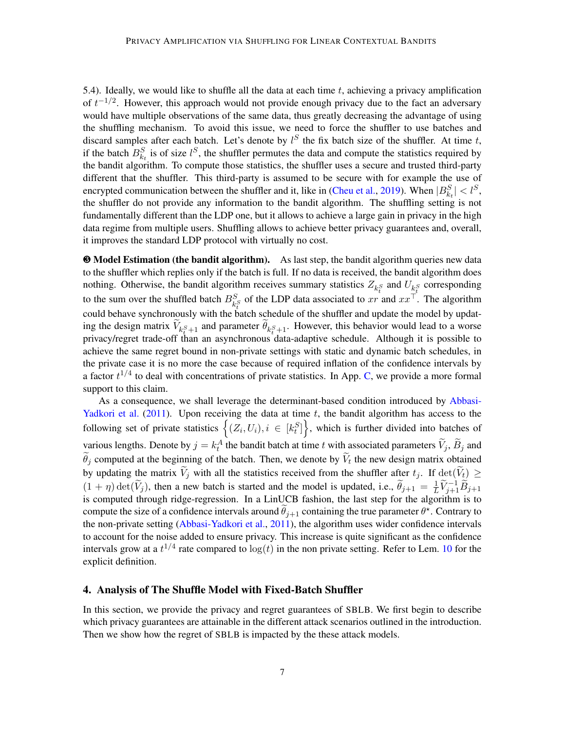5.4). Ideally, we would like to shuffle all the data at each time  $t$ , achieving a privacy amplification of  $t^{-1/2}$ . However, this approach would not provide enough privacy due to the fact an adversary would have multiple observations of the same data, thus greatly decreasing the advantage of using the shuffling mechanism. To avoid this issue, we need to force the shuffler to use batches and discard samples after each batch. Let's denote by  $l^S$  the fix batch size of the shuffler. At time t, if the batch  $B_{k_t}^S$  is of size  $l^S$ , the shuffler permutes the data and compute the statistics required by the bandit algorithm. To compute those statistics, the shuffler uses a secure and trusted third-party different that the shuffler. This third-party is assumed to be secure with for example the use of encrypted communication between the shuffler and it, like in [\(Cheu et al.,](#page-13-5) [2019\)](#page-13-5). When  $|B_{k_t}^S| < l^S$ , the shuffler do not provide any information to the bandit algorithm. The shuffling setting is not fundamentally different than the LDP one, but it allows to achieve a large gain in privacy in the high data regime from multiple users. Shuffling allows to achieve better privacy guarantees and, overall, it improves the standard LDP protocol with virtually no cost.

❸ Model Estimation (the bandit algorithm). As last step, the bandit algorithm queries new data to the shuffler which replies only if the batch is full. If no data is received, the bandit algorithm does nothing. Otherwise, the bandit algorithm receives summary statistics  $Z_{k_t^S}$  and  $U_{k_t^S}$  corresponding to the sum over the shuffled batch  $B_{k_f^S}^S$  of the LDP data associated to  $xr$  and  $xx^\top$ . The algorithm could behave synchronously with the batch schedule of the shuffler and update the model by updating the design matrix  $V_{k_{t+1}^{S}}$  and parameter  $\theta_{k_{t+1}^{S}}$ . However, this behavior would lead to a worse privacy/regret trade-off than an asynchronous data-adaptive schedule. Although it is possible to achieve the same regret bound in non-private settings with static and dynamic batch schedules, in the private case it is no more the case because of required inflation of the confidence intervals by a factor  $t^{1/4}$  to deal with concentrations of private statistics. In App. [C,](#page-24-0) we provide a more formal support to this claim.

As a consequence, we shall leverage the determinant-based condition introduced by [Abbasi-](#page-13-9)[Yadkori et al.](#page-13-9)  $(2011)$ . Upon receiving the data at time  $t$ , the bandit algorithm has access to the following set of private statistics  $\left\{ (Z_i, U_i), i \in [k_t^S] \right\}$ , which is further divided into batches of various lengths. Denote by  $j = k_t^A$  the bandit batch at time t with associated parameters  $\widetilde{V}_j$ ,  $\widetilde{B}_j$  and  $\theta_j$  computed at the beginning of the batch. Then, we denote by  $V_t$  the new design matrix obtained by updating the matrix  $\tilde{V}_j$  with all the statistics received from the shuffler after  $t_j$ . If  $\det(\tilde{V}_t) \geq$  $(1 + \eta) \det(\widetilde{V}_j)$ , then a new batch is started and the model is updated, i.e.,  $\widetilde{\theta}_{j+1} = \frac{1}{L}$  $\frac{1}{L}\widetilde V_{j+1}^{-1}\widetilde B_{j+1}$ is computed through ridge-regression. In a LinUCB fashion, the last step for the algorithm is to compute the size of a confidence intervals around  $\tilde{\theta}_{j+1}$  containing the true parameter  $\theta^*$ . Contrary to the non-private setting [\(Abbasi-Yadkori et al.,](#page-13-9) [2011\)](#page-13-9), the algorithm uses wider confidence intervals to account for the noise added to ensure privacy. This increase is quite significant as the confidence intervals grow at a  $t^{1/4}$  rate compared to  $\log(t)$  in the non private setting. Refer to Lem. [10](#page-10-1) for the explicit definition.

## 4. Analysis of The Shuffle Model with Fixed-Batch Shuffler

In this section, we provide the privacy and regret guarantees of SBLB. We first begin to describe which privacy guarantees are attainable in the different attack scenarios outlined in the introduction. Then we show how the regret of SBLB is impacted by the these attack models.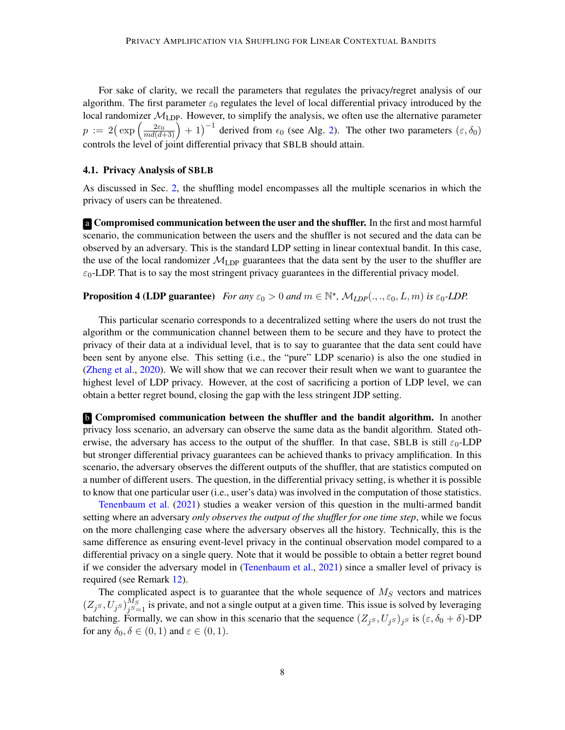For sake of clarity, we recall the parameters that regulates the privacy/regret analysis of our algorithm. The first parameter  $\varepsilon_0$  regulates the level of local differential privacy introduced by the local randomizer  $M_{\text{LDP}}$ . However, to simplify the analysis, we often use the alternative parameter  $p := 2(\exp\left(\frac{2\varepsilon_0}{md(d+3)}\right) + 1)^{-1}$  derived from  $\epsilon_0$  (see Alg. [2\)](#page-16-0). The other two parameters  $(\varepsilon, \delta_0)$ controls the level of joint differential privacy that SBLB should attain.

#### 4.1. Privacy Analysis of SBLB

As discussed in Sec. [2,](#page-2-1) the shuffling model encompasses all the multiple scenarios in which the privacy of users can be threatened.

a Compromised communication between the user and the shuffler. In the first and most harmful scenario, the communication between the users and the shuffler is not secured and the data can be observed by an adversary. This is the standard LDP setting in linear contextual bandit. In this case, the use of the local randomizer  $\mathcal{M}_{\text{LDP}}$  guarantees that the data sent by the user to the shuffler are  $\varepsilon_0$ -LDP. That is to say the most stringent privacy guarantees in the differential privacy model.

# <span id="page-7-1"></span>**Proposition 4 (LDP guarantee)** For any  $\varepsilon_0 > 0$  and  $m \in \mathbb{N}^*$ ,  $\mathcal{M}_{LDP}(.,.,\varepsilon_0, L, m)$  is  $\varepsilon_0$ -LDP.

This particular scenario corresponds to a decentralized setting where the users do not trust the algorithm or the communication channel between them to be secure and they have to protect the privacy of their data at a individual level, that is to say to guarantee that the data sent could have been sent by anyone else. This setting (i.e., the "pure" LDP scenario) is also the one studied in [\(Zheng et al.,](#page-15-1) [2020\)](#page-15-1). We will show that we can recover their result when we want to guarantee the highest level of LDP privacy. However, at the cost of sacrificing a portion of LDP level, we can obtain a better regret bound, closing the gap with the less stringent JDP setting.

**b** Compromised communication between the shuffler and the bandit algorithm. In another privacy loss scenario, an adversary can observe the same data as the bandit algorithm. Stated otherwise, the adversary has access to the output of the shuffler. In that case, SBLB is still  $\varepsilon_0$ -LDP but stronger differential privacy guarantees can be achieved thanks to privacy amplification. In this scenario, the adversary observes the different outputs of the shuffler, that are statistics computed on a number of different users. The question, in the differential privacy setting, is whether it is possible to know that one particular user (i.e., user's data) was involved in the computation of those statistics.

[Tenenbaum et al.](#page-14-10) [\(2021\)](#page-14-10) studies a weaker version of this question in the multi-armed bandit setting where an adversary *only observes the output of the shuffler for one time step*, while we focus on the more challenging case where the adversary observes all the history. Technically, this is the same difference as ensuring event-level privacy in the continual observation model compared to a differential privacy on a single query. Note that it would be possible to obtain a better regret bound if we consider the adversary model in [\(Tenenbaum et al.,](#page-14-10) [2021\)](#page-14-10) since a smaller level of privacy is required (see Remark [12\)](#page-11-1).

<span id="page-7-0"></span>The complicated aspect is to guarantee that the whole sequence of  $M<sub>S</sub>$  vectors and matrices  $(Z_{j^S},U_{j^S})_{j^S=1}^{\tilde{M_S}}$  $j_{S=1}^{M_S}$  is private, and not a single output at a given time. This issue is solved by leveraging batching. Formally, we can show in this scenario that the sequence  $(Z_j s, U_j s)_j s$  is  $(\varepsilon, \delta_0 + \delta)$ -DP for any  $\delta_0, \delta \in (0, 1)$  and  $\varepsilon \in (0, 1)$ .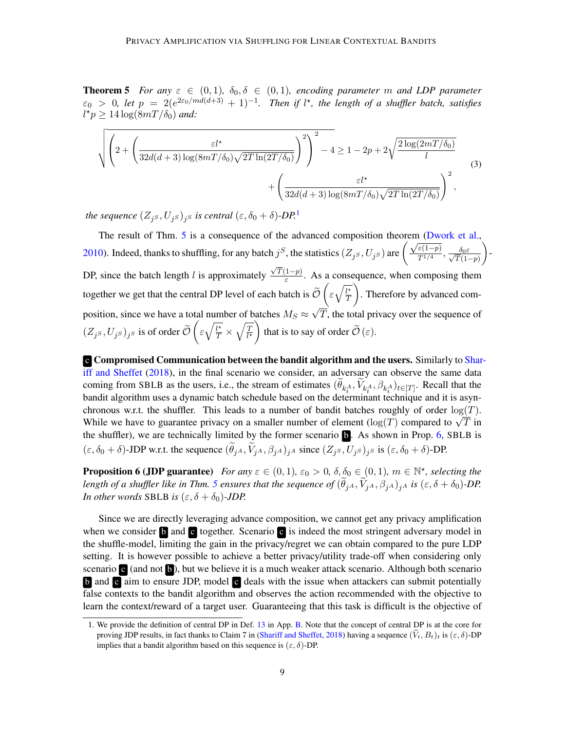**Theorem 5** *For any*  $\varepsilon \in (0,1)$ *,*  $\delta_0, \delta \in (0,1)$ *, encoding parameter m and LDP parameter*  $\varepsilon_0 > 0$ , let  $p = 2(e^{2\varepsilon_0/md(d+3)} + 1)^{-1}$ . Then if l<sup>\*</sup>, the length of a shuffler batch, satisfies  $l^{\star}p \geq 14\log(8mT/\delta_0)$  and:

<span id="page-8-2"></span>
$$
\sqrt{\left(2+\left(\frac{\varepsilon l^{\star}}{32d(d+3)\log(8mT/\delta_0)\sqrt{2T\ln(2T/\delta_0)}}\right)^2\right)^2-4}\geq 1-2p+2\sqrt{\frac{2\log(2mT/\delta_0)}{l}}
$$
\n
$$
+\left(\frac{\varepsilon l^{\star}}{32d(d+3)\log(8mT/\delta_0)\sqrt{2T\ln(2T/\delta_0)}}\right)^2,
$$
\n(3)

*the sequence*  $(Z_{j^S}, U_{j^S})_{j^S}$  *is central*  $(\varepsilon, \delta_0 + \delta)$ -DP.<sup>[1](#page-8-0)</sup>

The result of Thm. [5](#page-7-0) is a consequence of the advanced composition theorem [\(Dwork et al.,](#page-14-11) The result of Thin, 3 is a consequence of the advanced composition theorem (DW)<br>[2010\)](#page-14-11). Indeed, thanks to shuffling, for any batch  $j^S$ , the statistics ( $Z_{j^S}, U_{j^S}$ ) are  $\left(\frac{\sqrt{\varepsilon(1-p)}}{T^{1/4}}\right)$  $\frac{\varepsilon(1-p)}{T^{1/4}}, \frac{\delta_0\varepsilon}{\sqrt{T}(1-p)}$  $T(1-p)$  $\bigg)$  -DP, since the batch length l is approximately  $\frac{\sqrt{T(1-p)}}{s}$ √  $\frac{1-p}{\varepsilon}$ . As a consequence, when composing them together we get that the central DP level of each batch is  $\widetilde{\mathcal{O}}\left(\varepsilon\sqrt{\frac{l^*}{T}}\right)$ T . Therefore by advanced composition, since we have a total number of batches  $M_S \approx$ √ T, the total privacy over the sequence of  $(Z_j s, U_j s)_{j s}$  is of order  $\widetilde{\mathcal{O}}\left(\varepsilon \sqrt{\frac{l^\star}{T}} \times \sqrt{\frac{T}{l^\star}}\right)$  $\left( \frac{\overline{T}}{\overline{l}^*}\right)$  that is to say of order  $\widetilde{\mathcal{O}}(\varepsilon)$ .

c Compromised Communication between the bandit algorithm and the users. Similarly to [Shar](#page-14-1)[iff and Sheffet](#page-14-1) [\(2018\)](#page-14-1), in the final scenario we consider, an adversary can observe the same data coming from SBLB as the users, i.e., the stream of estimates  $(\theta_{k_t^A}, V_{k_t^A}, \beta_{k_t^A})_{t \in [T]}$ . Recall that the bandit algorithm uses a dynamic batch schedule based on the determinant technique and it is asynchronous w.r.t. the shuffler. This leads to a number of bandit batches roughly of order  $log(T)$ . chronous w.r.t. the shumer. This leads to a humber of bandit batches roughly of order  $log(T)$ .<br>While we have to guarantee privacy on a smaller number of element ( $log(T)$  compared to  $\sqrt{T}$  in the shuffler), we are technically limited by the former scenario **b**. As shown in Prop. [6,](#page-8-1) SBLB is  $(\varepsilon, \delta_0 + \delta)$ -JDP w.r.t. the sequence  $(\theta_{jA}, V_{jA}, \beta_{jA})_{jA}$  since  $(Z_{jS}, U_{jS})_{jS}$  is  $(\varepsilon, \delta_0 + \delta)$ -DP.

<span id="page-8-1"></span>**Proposition 6 (JDP guarantee)** *For any*  $\varepsilon \in (0,1)$ ,  $\varepsilon_0 > 0$ ,  $\delta$ ,  $\delta_0 \in (0,1)$ ,  $m \in \mathbb{N}^*$ , selecting the *length of a shuffler like in Thm. [5](#page-7-0) ensures that the sequence of*  $(\theta_{jA}, V_{jA}, \beta_{jA})_{jA}$  *is*  $(\varepsilon, \delta + \delta_0)$ *-DP. In other words* SBLB *is*  $(\varepsilon, \delta + \delta_0)$ *-JDP.* 

Since we are directly leveraging advance composition, we cannot get any privacy amplification when we consider  $\bf{b}$  and  $\bf{c}$  together. Scenario  $\bf{c}$  is indeed the most stringent adversary model in the shuffle-model, limiting the gain in the privacy/regret we can obtain compared to the pure LDP setting. It is however possible to achieve a better privacy/utility trade-off when considering only scenario c (and not  $\bf{b}$ ), but we believe it is a much weaker attack scenario. Although both scenario b and c aim to ensure JDP, model c deals with the issue when attackers can submit potentially false contexts to the bandit algorithm and observes the action recommended with the objective to learn the context/reward of a target user. Guaranteeing that this task is difficult is the objective of

<span id="page-8-0"></span><sup>1.</sup> We provide the definition of central DP in Def. [13](#page-17-0) in App. [B.](#page-17-1) Note that the concept of central DP is at the core for proving JDP results, in fact thanks to Claim 7 in [\(Shariff and Sheffet,](#page-14-1) [2018\)](#page-14-1) having a sequence  $(V_t, B_t)_t$  is  $(\varepsilon, \delta)$ -DP implies that a bandit algorithm based on this sequence is  $(\varepsilon, \delta)$ -DP.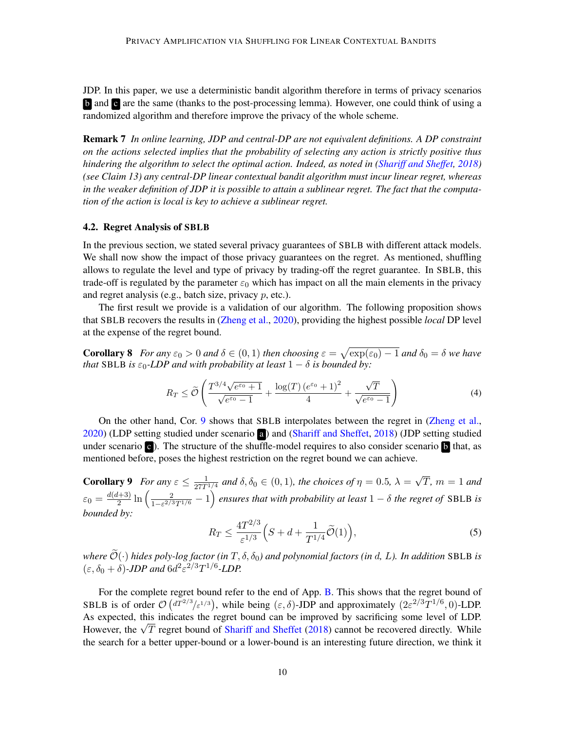JDP. In this paper, we use a deterministic bandit algorithm therefore in terms of privacy scenarios **b** and **c** are the same (thanks to the post-processing lemma). However, one could think of using a randomized algorithm and therefore improve the privacy of the whole scheme.

Remark 7 *In online learning, JDP and central-DP are not equivalent definitions. A DP constraint on the actions selected implies that the probability of selecting any action is strictly positive thus hindering the algorithm to select the optimal action. Indeed, as noted in [\(Shariff and Sheffet,](#page-14-1) [2018\)](#page-14-1) (see Claim 13) any central-DP linear contextual bandit algorithm must incur linear regret, whereas in the weaker definition of JDP it is possible to attain a sublinear regret. The fact that the computation of the action is local is key to achieve a sublinear regret.*

#### 4.2. Regret Analysis of SBLB

In the previous section, we stated several privacy guarantees of SBLB with different attack models. We shall now show the impact of those privacy guarantees on the regret. As mentioned, shuffling allows to regulate the level and type of privacy by trading-off the regret guarantee. In SBLB, this trade-off is regulated by the parameter  $\varepsilon_0$  which has impact on all the main elements in the privacy and regret analysis (e.g., batch size, privacy  $p$ , etc.).

The first result we provide is a validation of our algorithm. The following proposition shows that SBLB recovers the results in [\(Zheng et al.,](#page-15-1) [2020\)](#page-15-1), providing the highest possible *local* DP level at the expense of the regret bound.

**Corollary 8** For any  $\varepsilon_0 > 0$  and  $\delta \in (0,1)$  then choosing  $\varepsilon = \sqrt{\exp(\varepsilon_0) - 1}$  and  $\delta_0 = \delta$  we have *that* SBLB *is*  $\varepsilon_0$ -*LDP* and with probability at least  $1 - \delta$  *is bounded by:* 

<span id="page-9-0"></span>
$$
R_T \le \widetilde{\mathcal{O}}\left(\frac{T^{3/4}\sqrt{e^{\varepsilon_0}+1}}{\sqrt{e^{\varepsilon_0}-1}} + \frac{\log(T)\left(e^{\varepsilon_0}+1\right)^2}{4} + \frac{\sqrt{T}}{\sqrt{e^{\varepsilon_0}-1}}\right) \tag{4}
$$

On the other hand, Cor. [9](#page-9-1) shows that SBLB interpolates between the regret in [\(Zheng et al.,](#page-15-1) [2020\)](#page-15-1) (LDP setting studied under scenario a ) and [\(Shariff and Sheffet,](#page-14-1) [2018\)](#page-14-1) (JDP setting studied under scenario  $\bf{c}$ ). The structure of the shuffle-model requires to also consider scenario  $\bf{b}$  that, as mentioned before, poses the highest restriction on the regret bound we can achieve.

<span id="page-9-1"></span>**Corollary 9** *For any*  $\varepsilon \leq \frac{1}{27T^{1/4}}$  *and*  $\delta, \delta_0 \in (0, 1)$ *, the choices of*  $\eta = 0.5$ *,*  $\lambda =$ √ T*,* m = 1 *and*  $\varepsilon_0 = \frac{d(d+3)}{2}$  $\frac{l+3}{2}\ln\left(\frac{2}{1-\varepsilon^{2/3}}\right)$  $\frac{2}{1-\varepsilon^{2/3}T^{1/6}}-1$ ) ensures that with probability at least  $1-\delta$  the regret of SBLB is *bounded by:*

$$
R_T \le \frac{4T^{2/3}}{\varepsilon^{1/3}} \left( S + d + \frac{1}{T^{1/4}} \widetilde{\mathcal{O}}(1) \right),\tag{5}
$$

*where*  $\widetilde{\mathcal{O}}(\cdot)$  *hides poly-log factor (in*  $T, \delta, \delta_0$ *) and polynomial factors (in d, L). In addition* SBLB *is*  $(\varepsilon, \delta_0 + \delta)$ -*JDP and*  $6d^2 \varepsilon^{2/3} T^{1/6}$ -*LDP*.

For the complete regret bound refer to the end of App. [B.](#page-17-1) This shows that the regret bound of SBLB is of order  $\mathcal{O}(d^{T^2/3}/\epsilon^{1/3})$ , while being  $(\epsilon, \delta)$ -JDP and approximately  $(2\epsilon^{2/3}T^{1/6}, 0)$ -LDP. As expected, this indicates the regret bound can be improved by sacrificing some level of LDP. As expected, this indicates the regret bound can be improved by sacrificing some level of LDP.<br>However, the  $\sqrt{T}$  regret bound of [Shariff and Sheffet](#page-14-1) [\(2018\)](#page-14-1) cannot be recovered directly. While the search for a better upper-bound or a lower-bound is an interesting future direction, we think it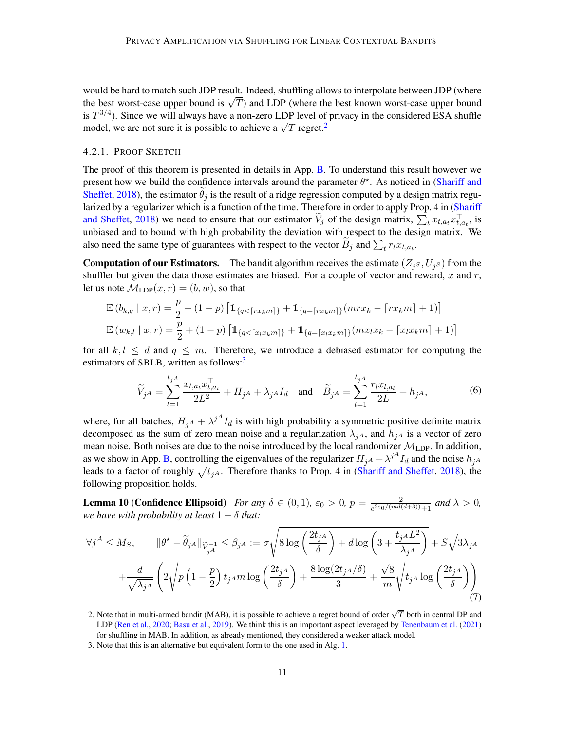would be hard to match such JDP result. Indeed, shuffling allows to interpolate between JDP (where would be hard to match such JDP result. Indeed, shurfling allows to interpolate between JDP (where the best known worst-case upper bound is  $\sqrt{T}$ ) and LDP (where the best known worst-case upper bound is  $T^{3/4}$ ). Since we will always have a non-zero LDP level of privacy in the considered ESA shuffle is  $I^{\gamma}$ ; since we will always have a non-zero LDP level of model, we are not sure it is possible to achieve a  $\sqrt{T}$  regret.<sup>[2](#page-10-2)</sup>

## 4.2.1. PROOF SKETCH

The proof of this theorem is presented in details in App. [B.](#page-17-1) To understand this result however we present how we build the confidence intervals around the parameter  $\theta^*$ . As noticed in [\(Shariff and](#page-14-1) [Sheffet,](#page-14-1) [2018\)](#page-14-1), the estimator  $\hat{\theta}_j$  is the result of a ridge regression computed by a design matrix regu-larized by a regularizer which is a function of the time. Therefore in order to apply Prop. 4 in [\(Shariff](#page-14-1) [and Sheffet,](#page-14-1) [2018\)](#page-14-1) we need to ensure that our estimator  $\tilde{V}_j$  of the design matrix,  $\sum_t x_{t,a_t} x_{t,a_t}^{\top}$  is unbiased and to bound with high probability the deviation with respect to the design matrix. We also need the same type of guarantees with respect to the vector  $B_j$  and  $\sum_t r_t x_{t,a_t}$ .

**Computation of our Estimators.** The bandit algorithm receives the estimate  $(Z_j s, U_j s)$  from the shuffler but given the data those estimates are biased. For a couple of vector and reward,  $x$  and  $r$ , let us note  $\mathcal{M}_{\text{LDP}}(x, r) = (b, w)$ , so that

$$
\mathbb{E}\left(b_{k,q} \mid x, r\right) = \frac{p}{2} + (1-p)\left[\mathbb{1}_{\{q < \lceil rx_k m \rceil\}} + \mathbb{1}_{\{q = \lceil rx_k m \rceil\}}(mrx_k - \lceil rx_k m \rceil + 1)\right]
$$
\n
$$
\mathbb{E}\left(w_{k,l} \mid x, r\right) = \frac{p}{2} + (1-p)\left[\mathbb{1}_{\{q < \lceil x_l x_k m \rceil\}} + \mathbb{1}_{\{q = \lceil x_l x_k m \rceil\}}(mx_lx_k - \lceil x_l x_k m \rceil + 1)\right]
$$

for all  $k, l \leq d$  and  $q \leq m$ . Therefore, we introduce a debiased estimator for computing the estimators of SBLB, written as follows: $3$ 

$$
\widetilde{V}_{jA} = \sum_{t=1}^{t_{jA}} \frac{x_{t,a_t} x_{t,a_t}^\top}{2L^2} + H_{jA} + \lambda_{jA} I_d \quad \text{and} \quad \widetilde{B}_{jA} = \sum_{l=1}^{t_{jA}} \frac{r_l x_{l,a_l}}{2L} + h_{jA},\tag{6}
$$

where, for all batches,  $H_{jA} + \lambda^{jA} I_d$  is with high probability a symmetric positive definite matrix decomposed as the sum of zero mean noise and a regularization  $\lambda_{iA}$ , and  $h_{iA}$  is a vector of zero mean noise. Both noises are due to the noise introduced by the local randomizer  $\mathcal{M}_{\text{LDP}}$ . In addition, as we show in App. [B,](#page-17-1) controlling the eigenvalues of the regularizer  $H_{jA} + \lambda^{jA} I_d$  and the noise  $h_{jA}$ leads to a factor of roughly  $\sqrt{t_{iA}}$ . Therefore thanks to Prop. 4 in [\(Shariff and Sheffet,](#page-14-1) [2018\)](#page-14-1), the following proposition holds.

<span id="page-10-1"></span>**Lemma 10 (Confidence Ellipsoid)** For any  $\delta \in (0,1)$ ,  $\varepsilon_0 > 0$ ,  $p = \frac{2}{e^{2\varepsilon_0/(md)}}$  $\frac{2}{e^{2\varepsilon_0/(md(d+3))}+1}$  and  $\lambda > 0$ , *we have with probability at least*  $1 - \delta$  *that:* 

<span id="page-10-0"></span>
$$
\forall j^A \le M_S, \qquad \|\theta^* - \tilde{\theta}_{j^A}\|_{\tilde{V}_{j^A}^{-1}} \le \beta_{j^A} := \sigma \sqrt{8 \log \left(\frac{2t_{j^A}}{\delta}\right) + d \log \left(3 + \frac{t_{j^A} L^2}{\lambda_{j^A}}\right)} + S \sqrt{3 \lambda_{j^A}}
$$

$$
+ \frac{d}{\sqrt{\lambda_{j^A}}} \left(2 \sqrt{p \left(1 - \frac{p}{2}\right) t_{j^A} m \log \left(\frac{2t_{j^A}}{\delta}\right)} + \frac{8 \log(2t_{j^A}/\delta)}{3} + \frac{\sqrt{8}}{m} \sqrt{t_{j^A} \log \left(\frac{2t_{j^A}}{\delta}\right)}\right) \tag{7}
$$

<span id="page-10-2"></span><sup>2.</sup> Note that in multi-armed bandit (MAB), it is possible to achieve a regret bound of order  $\sqrt{T}$  both in central DP and LDP [\(Ren et al.,](#page-14-12) [2020;](#page-14-12) [Basu et al.,](#page-13-10) [2019\)](#page-13-10). We think this is an important aspect leveraged by [Tenenbaum et al.](#page-14-10) [\(2021\)](#page-14-10) for shuffling in MAB. In addition, as already mentioned, they considered a weaker attack model.

<span id="page-10-3"></span><sup>3.</sup> Note that this is an alternative but equivalent form to the one used in Alg. [1.](#page-4-1)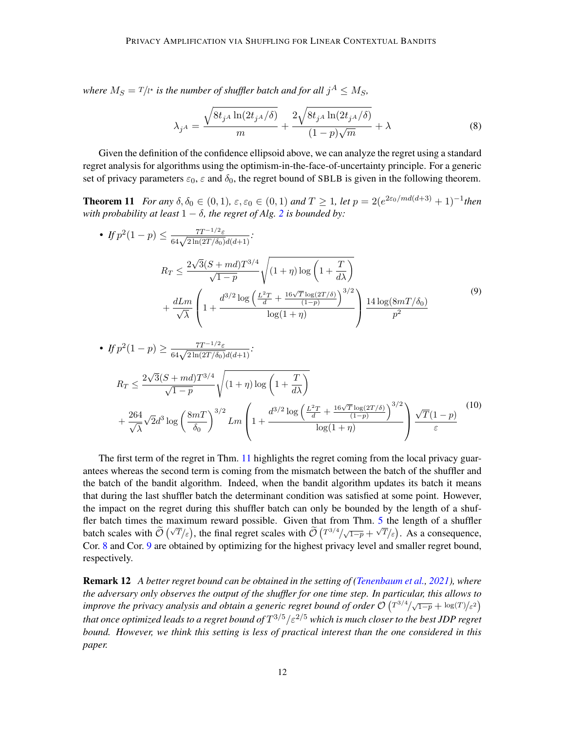where  $M_S = T/{\iota^{\star}}$  is the number of shuffler batch and for all  $j^A \le M_S$ ,

<span id="page-11-0"></span>
$$
\lambda_{jA} = \frac{\sqrt{8t_{jA} \ln(2t_{jA}/\delta)}}{m} + \frac{2\sqrt{8t_{jA} \ln(2t_{jA}/\delta)}}{(1-p)\sqrt{m}} + \lambda
$$
\n(8)

Given the definition of the confidence ellipsoid above, we can analyze the regret using a standard regret analysis for algorithms using the optimism-in-the-face-of-uncertainty principle. For a generic set of privacy parameters  $\varepsilon_0$ ,  $\varepsilon$  and  $\delta_0$ , the regret bound of SBLB is given in the following theorem.

<span id="page-11-2"></span>**Theorem 11** *For any*  $\delta, \delta_0 \in (0, 1)$ ,  $\varepsilon, \varepsilon_0 \in (0, 1)$  and  $T \ge 1$ , let  $p = 2(e^{2\varepsilon_0/md(d+3)} + 1)^{-1}$ then *with probability at least*  $1 - \delta$ *, the regret of Alg.* [2](#page-16-0) *is bounded by:* 

• 
$$
If p^{2}(1-p) \leq \frac{7T^{-1/2}\varepsilon}{64\sqrt{2\ln(2T/\delta_{0})}d(d+1)};
$$
  
\n
$$
R_{T} \leq \frac{2\sqrt{3}(S+md)T^{3/4}}{\sqrt{1-p}}\sqrt{(1+\eta)\log\left(1+\frac{T}{d\lambda}\right)}
$$
  
\n
$$
+\frac{dLm}{\sqrt{\lambda}}\left(1+\frac{d^{3/2}\log\left(\frac{L^{2}T}{d}+\frac{16\sqrt{T}\log(2T/\delta)}{(1-p)}\right)^{3/2}}{\log(1+\eta)}\right)\frac{14\log(8mT/\delta_{0})}{p^{2}}
$$
<sup>(9)</sup>

• 
$$
If p^{2}(1-p) \geq \frac{7T^{-1/2}\varepsilon}{64\sqrt{2\ln(2T/\delta_{0})}d(d+1)};
$$
  
\n
$$
R_{T} \leq \frac{2\sqrt{3}(S+md)T^{3/4}}{\sqrt{1-p}}\sqrt{(1+\eta)\log\left(1+\frac{T}{d\lambda}\right)}
$$
  
\n
$$
+\frac{264}{\sqrt{\lambda}}\sqrt{2}d^{3}\log\left(\frac{8m}{\delta_{0}}\right)^{3/2}Lm\left(1+\frac{d^{3/2}\log\left(\frac{L^{2}T}{d}+\frac{16\sqrt{T}\log(2T/\delta)}{(1-p)}\right)^{3/2}}{\log(1+\eta)}\right)\frac{\sqrt{T}(1-p)}{\varepsilon}
$$
<sup>(10)</sup>

The first term of the regret in Thm. [11](#page-11-2) highlights the regret coming from the local privacy guarantees whereas the second term is coming from the mismatch between the batch of the shuffler and the batch of the bandit algorithm. Indeed, when the bandit algorithm updates its batch it means that during the last shuffler batch the determinant condition was satisfied at some point. However, the impact on the regret during this shuffler batch can only be bounded by the length of a shuffler batch times the maximum reward possible. Given that from Thm. [5](#page-7-0) the length of a shuffler batch scales with  $\widetilde{\mathcal{O}}(\sqrt{T}/\varepsilon)$ , the final regret scales with  $\widetilde{\mathcal{O}}(T^{3/4}/\sqrt{1-p} + \sqrt{T}/\varepsilon)$ . As a consequence, Cor. [8](#page-9-0) and Cor. [9](#page-9-1) are obtained by optimizing for the highest privacy level and smaller regret bound, respectively.

<span id="page-11-1"></span>Remark 12 *A better regret bound can be obtained in the setting of [\(Tenenbaum et al.,](#page-14-10) [2021\)](#page-14-10), where the adversary only observes the output of the shuffler for one time step. In particular, this allows to improve the privacy analysis and obtain a generic regret bound of order*  $\mathcal{O}(T^{3/4}/\sqrt{1-p} + \log(T)/\varepsilon^2)$ *that once optimized leads to a regret bound of* T <sup>3</sup>/5/ε2/<sup>5</sup> *which is much closer to the best JDP regret bound. However, we think this setting is less of practical interest than the one considered in this paper.*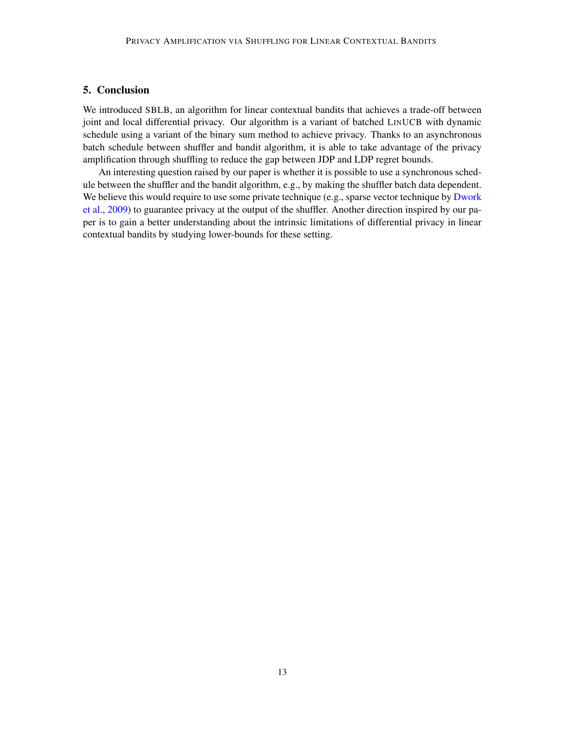## 5. Conclusion

We introduced SBLB, an algorithm for linear contextual bandits that achieves a trade-off between joint and local differential privacy. Our algorithm is a variant of batched LINUCB with dynamic schedule using a variant of the binary sum method to achieve privacy. Thanks to an asynchronous batch schedule between shuffler and bandit algorithm, it is able to take advantage of the privacy amplification through shuffling to reduce the gap between JDP and LDP regret bounds.

An interesting question raised by our paper is whether it is possible to use a synchronous schedule between the shuffler and the bandit algorithm, e.g., by making the shuffler batch data dependent. We believe this would require to use some private technique (e.g., sparse vector technique by [Dwork](#page-14-13) [et al.,](#page-14-13) [2009\)](#page-14-13) to guarantee privacy at the output of the shuffler. Another direction inspired by our paper is to gain a better understanding about the intrinsic limitations of differential privacy in linear contextual bandits by studying lower-bounds for these setting.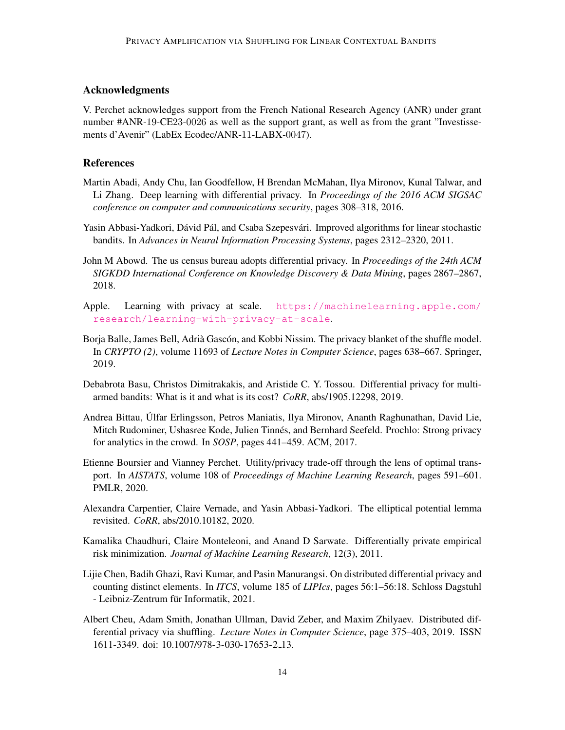## Acknowledgments

V. Perchet acknowledges support from the French National Research Agency (ANR) under grant number #ANR-19-CE23-0026 as well as the support grant, as well as from the grant "Investissements d'Avenir" (LabEx Ecodec/ANR-11-LABX-0047).

#### References

- <span id="page-13-2"></span>Martin Abadi, Andy Chu, Ian Goodfellow, H Brendan McMahan, Ilya Mironov, Kunal Talwar, and Li Zhang. Deep learning with differential privacy. In *Proceedings of the 2016 ACM SIGSAC conference on computer and communications security*, pages 308–318, 2016.
- <span id="page-13-9"></span>Yasin Abbasi-Yadkori, Dávid Pál, and Csaba Szepesvári. Improved algorithms for linear stochastic bandits. In *Advances in Neural Information Processing Systems*, pages 2312–2320, 2011.
- <span id="page-13-0"></span>John M Abowd. The us census bureau adopts differential privacy. In *Proceedings of the 24th ACM SIGKDD International Conference on Knowledge Discovery & Data Mining*, pages 2867–2867, 2018.
- <span id="page-13-4"></span>Apple. Learning with privacy at scale. [https://machinelearning.apple.com/](https://machinelearning.apple.com/research/learning-with-privacy-at-scale) [research/learning-with-privacy-at-scale](https://machinelearning.apple.com/research/learning-with-privacy-at-scale).
- <span id="page-13-7"></span>Borja Balle, James Bell, Adrià Gascón, and Kobbi Nissim. The privacy blanket of the shuffle model. In *CRYPTO (2)*, volume 11693 of *Lecture Notes in Computer Science*, pages 638–667. Springer, 2019.
- <span id="page-13-10"></span>Debabrota Basu, Christos Dimitrakakis, and Aristide C. Y. Tossou. Differential privacy for multiarmed bandits: What is it and what is its cost? *CoRR*, abs/1905.12298, 2019.
- <span id="page-13-8"></span>Andrea Bittau, Ulfar Erlingsson, Petros Maniatis, Ilya Mironov, Ananth Raghunathan, David Lie, ´ Mitch Rudominer, Ushasree Kode, Julien Tinnés, and Bernhard Seefeld. Prochlo: Strong privacy for analytics in the crowd. In *SOSP*, pages 441–459. ACM, 2017.
- <span id="page-13-3"></span>Etienne Boursier and Vianney Perchet. Utility/privacy trade-off through the lens of optimal transport. In *AISTATS*, volume 108 of *Proceedings of Machine Learning Research*, pages 591–601. PMLR, 2020.
- <span id="page-13-11"></span>Alexandra Carpentier, Claire Vernade, and Yasin Abbasi-Yadkori. The elliptical potential lemma revisited. *CoRR*, abs/2010.10182, 2020.
- <span id="page-13-1"></span>Kamalika Chaudhuri, Claire Monteleoni, and Anand D Sarwate. Differentially private empirical risk minimization. *Journal of Machine Learning Research*, 12(3), 2011.
- <span id="page-13-6"></span>Lijie Chen, Badih Ghazi, Ravi Kumar, and Pasin Manurangsi. On distributed differential privacy and counting distinct elements. In *ITCS*, volume 185 of *LIPIcs*, pages 56:1–56:18. Schloss Dagstuhl - Leibniz-Zentrum für Informatik, 2021.
- <span id="page-13-5"></span>Albert Cheu, Adam Smith, Jonathan Ullman, David Zeber, and Maxim Zhilyaev. Distributed differential privacy via shuffling. *Lecture Notes in Computer Science*, page 375–403, 2019. ISSN 1611-3349. doi: 10.1007/978-3-030-17653-2 13.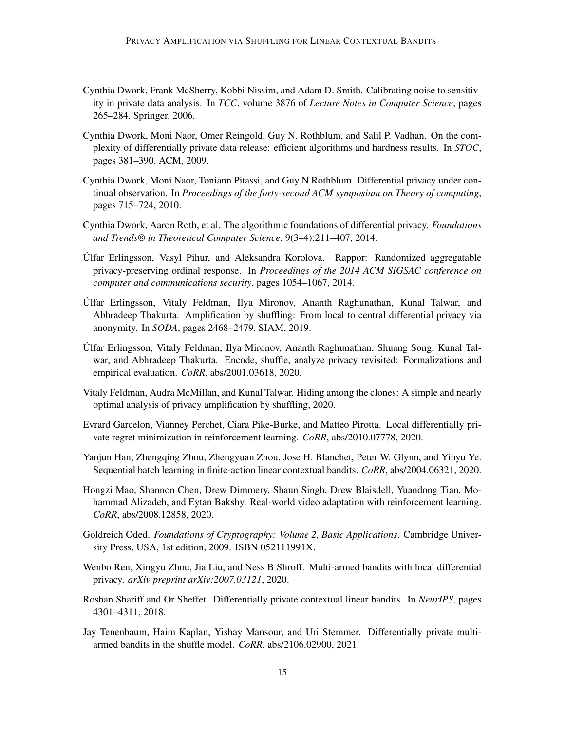- <span id="page-14-3"></span>Cynthia Dwork, Frank McSherry, Kobbi Nissim, and Adam D. Smith. Calibrating noise to sensitivity in private data analysis. In *TCC*, volume 3876 of *Lecture Notes in Computer Science*, pages 265–284. Springer, 2006.
- <span id="page-14-13"></span>Cynthia Dwork, Moni Naor, Omer Reingold, Guy N. Rothblum, and Salil P. Vadhan. On the complexity of differentially private data release: efficient algorithms and hardness results. In *STOC*, pages 381–390. ACM, 2009.
- <span id="page-14-11"></span>Cynthia Dwork, Moni Naor, Toniann Pitassi, and Guy N Rothblum. Differential privacy under continual observation. In *Proceedings of the forty-second ACM symposium on Theory of computing*, pages 715–724, 2010.
- <span id="page-14-5"></span>Cynthia Dwork, Aaron Roth, et al. The algorithmic foundations of differential privacy. *Foundations and Trends® in Theoretical Computer Science*, 9(3–4):211–407, 2014.
- <span id="page-14-4"></span>Ulfar Erlingsson, Vasyl Pihur, and Aleksandra Korolova. Rappor: Randomized aggregatable ´ privacy-preserving ordinal response. In *Proceedings of the 2014 ACM SIGSAC conference on computer and communications security*, pages 1054–1067, 2014.
- <span id="page-14-8"></span>Ulfar Erlingsson, Vitaly Feldman, Ilya Mironov, Ananth Raghunathan, Kunal Talwar, and ´ Abhradeep Thakurta. Amplification by shuffling: From local to central differential privacy via anonymity. In *SODA*, pages 2468–2479. SIAM, 2019.
- <span id="page-14-7"></span>Ulfar Erlingsson, Vitaly Feldman, Ilya Mironov, Ananth Raghunathan, Shuang Song, Kunal Tal- ´ war, and Abhradeep Thakurta. Encode, shuffle, analyze privacy revisited: Formalizations and empirical evaluation. *CoRR*, abs/2001.03618, 2020.
- <span id="page-14-6"></span>Vitaly Feldman, Audra McMillan, and Kunal Talwar. Hiding among the clones: A simple and nearly optimal analysis of privacy amplification by shuffling, 2020.
- <span id="page-14-2"></span>Evrard Garcelon, Vianney Perchet, Ciara Pike-Burke, and Matteo Pirotta. Local differentially private regret minimization in reinforcement learning. *CoRR*, abs/2010.07778, 2020.
- <span id="page-14-14"></span>Yanjun Han, Zhengqing Zhou, Zhengyuan Zhou, Jose H. Blanchet, Peter W. Glynn, and Yinyu Ye. Sequential batch learning in finite-action linear contextual bandits. *CoRR*, abs/2004.06321, 2020.
- <span id="page-14-0"></span>Hongzi Mao, Shannon Chen, Drew Dimmery, Shaun Singh, Drew Blaisdell, Yuandong Tian, Mohammad Alizadeh, and Eytan Bakshy. Real-world video adaptation with reinforcement learning. *CoRR*, abs/2008.12858, 2020.
- <span id="page-14-9"></span>Goldreich Oded. *Foundations of Cryptography: Volume 2, Basic Applications*. Cambridge University Press, USA, 1st edition, 2009. ISBN 052111991X.
- <span id="page-14-12"></span>Wenbo Ren, Xingyu Zhou, Jia Liu, and Ness B Shroff. Multi-armed bandits with local differential privacy. *arXiv preprint arXiv:2007.03121*, 2020.
- <span id="page-14-1"></span>Roshan Shariff and Or Sheffet. Differentially private contextual linear bandits. In *NeurIPS*, pages 4301–4311, 2018.
- <span id="page-14-10"></span>Jay Tenenbaum, Haim Kaplan, Yishay Mansour, and Uri Stemmer. Differentially private multiarmed bandits in the shuffle model. *CoRR*, abs/2106.02900, 2021.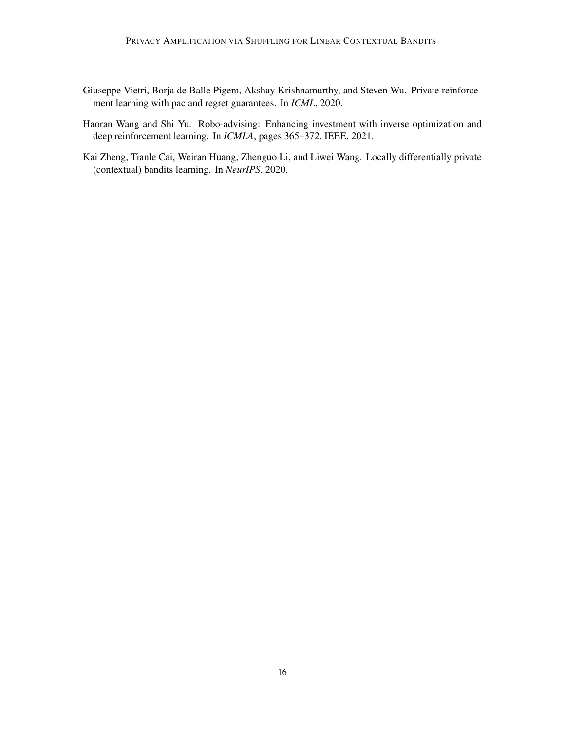- <span id="page-15-2"></span>Giuseppe Vietri, Borja de Balle Pigem, Akshay Krishnamurthy, and Steven Wu. Private reinforcement learning with pac and regret guarantees. In *ICML*, 2020.
- <span id="page-15-0"></span>Haoran Wang and Shi Yu. Robo-advising: Enhancing investment with inverse optimization and deep reinforcement learning. In *ICMLA*, pages 365–372. IEEE, 2021.
- <span id="page-15-1"></span>Kai Zheng, Tianle Cai, Weiran Huang, Zhenguo Li, and Liwei Wang. Locally differentially private (contextual) bandits learning. In *NeurIPS*, 2020.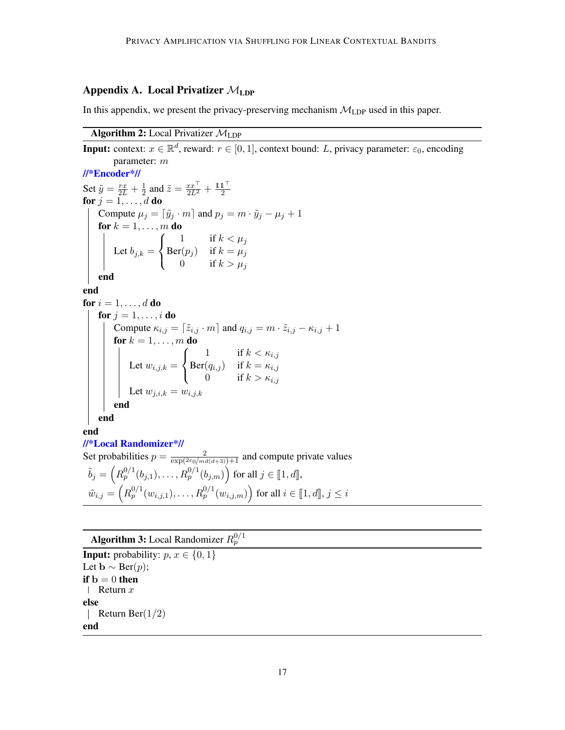## Appendix A. Local Privatizer  $\mathcal{M}_{\text{LDP}}$

In this appendix, we present the privacy-preserving mechanism  $M_{\text{LDP}}$  used in this paper.

## **Algorithm 2:** Local Privatizer  $M_{\text{LDP}}$

<span id="page-16-0"></span>**Input:** context:  $x \in \mathbb{R}^d$ , reward:  $r \in [0, 1]$ , context bound: L, privacy parameter:  $\varepsilon_0$ , encoding parameter: m //\*Encoder\*// Set  $\tilde{y} = \frac{rx}{2L} + \frac{1}{2}$  $\frac{1}{2}$  and  $\tilde{z} = \frac{xx^{\top}}{2L^2} + \frac{\mathbb{1}\mathbb{1}^{\top}}{2}$ 2 for  $j = 1, \ldots, d$  do Compute  $\mu_j = [\tilde{y}_j \cdot m]$  and  $p_j = m \cdot \tilde{y}_j - \mu_j + 1$ for  $k = 1, \ldots, m$  do Let  $b_{j,k} =$  $\sqrt{ }$  $\left\vert \right\vert$  $\mathcal{L}$ 1 if  $k < \mu_j$  $\mathrm{Ber}(p_j)$  if  $k = \mu_j$ 0 if  $k > \mu_j$ end end for  $i = 1, \ldots, d$  do for  $j = 1, \ldots, i$  do Compute  $\kappa_{i,j} = [\tilde{z}_{i,j} \cdot m]$  and  $q_{i,j} = m \cdot \tilde{z}_{i,j} - \kappa_{i,j} + 1$ for  $k = 1, \ldots, m$  do Let  $w_{i,j,k} =$  $\sqrt{ }$  $\left\vert \right\vert$  $\mathcal{L}$ 1 if  $k < \kappa_{i,j}$  $\text{Ber}(q_{i,j})$  if  $k = \kappa_{i,j}$ 0 if  $k > \kappa_{i,j}$ Let  $w_{j,i,k} = w_{i,j,k}$ end end end //\*Local Randomizer\*// Set probabilities  $p = \frac{2}{\exp(2\varepsilon_0/md(d+3))+1}$  and compute private values  $\tilde{b}_j = \left(R_p^{0/1}(b_{j,1}), \ldots, R_p^{0/1}(b_{j,m})\right)$  for all  $j \in [\![1, d]\!]$ ,  $\tilde{w}_{i,j} = \left(R^{0/1}_p(w_{i,j,1}), \ldots, R^{0/1}_p(w_{i,j,m})\right)$  for all  $i \in [\![1, d]\!], j \leq i$ 

<span id="page-16-1"></span>Algorithm 3: Local Randomizer  $R_p^{0/1}$ **Input:** probability:  $p, x \in \{0, 1\}$ Let  $\mathbf{b} \sim \text{Ber}(p)$ ; if  $b = 0$  then | Return  $x$ else | Return Ber $(1/2)$ end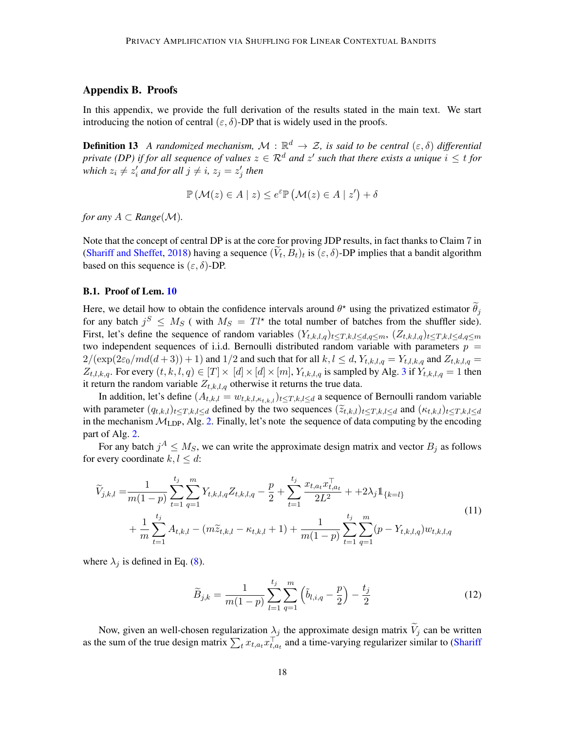## <span id="page-17-1"></span>Appendix B. Proofs

In this appendix, we provide the full derivation of the results stated in the main text. We start introducing the notion of central  $(\varepsilon, \delta)$ -DP that is widely used in the proofs.

<span id="page-17-0"></span>**Definition 13** A randomized mechanism,  $\mathcal{M}$  :  $\mathbb{R}^d \to \mathcal{Z}$ , is said to be central  $(\varepsilon, \delta)$  differential *private (DP) if for all sequence of values*  $z \in \mathcal{R}^d$  *and*  $z'$  *such that there exists a unique*  $i \leq t$  *for* which  $z_i \neq z'_i$  and for all  $j \neq i$ ,  $z_j = z'_j$  then

$$
\mathbb{P}\left(\mathcal{M}(z)\in A\mid z\right)\leq e^{\varepsilon}\mathbb{P}\left(\mathcal{M}(z)\in A\mid z'\right)+\delta
$$

*for any*  $A \subset Range(\mathcal{M})$ *.* 

Note that the concept of central DP is at the core for proving JDP results, in fact thanks to Claim 7 in [\(Shariff and Sheffet,](#page-14-1) [2018\)](#page-14-1) having a sequence  $(V_t, B_t)_t$  is  $(\varepsilon, \delta)$ -DP implies that a bandit algorithm based on this sequence is  $(\varepsilon, \delta)$ -DP.

#### B.1. Proof of Lem. [10](#page-10-1)

Here, we detail how to obtain the confidence intervals around  $\theta^*$  using the privatized estimator  $\tilde{\theta}_j$ for any batch  $j^S \leq M_S$  (with  $M_S = T l^*$  the total number of batches from the shuffler side). First, let's define the sequence of random variables  $(Y_{t,k,l,q})_{t\leq T,k,l\leq d,q\leq m}$ ,  $(Z_{t,k,l,q})_{t\leq T,k,l\leq d,q\leq m}$ two independent sequences of i.i.d. Bernoulli distributed random variable with parameters  $p =$  $2/(\exp(2\varepsilon_0/md(d+3))+1)$  and  $1/2$  and such that for all  $k, l \le d, Y_{t,k,l,q} = Y_{t,l,k,q}$  and  $Z_{t,k,l,q} =$  $Z_{t,l,k,q}$ . For every  $(t, k, l, q) \in [T] \times [d] \times [d] \times [m]$ ,  $Y_{t,k,l,q}$  is sampled by Alg. [3](#page-16-1) if  $Y_{t,k,l,q} = 1$  then it return the random variable  $Z_{t,k,l,q}$  otherwise it returns the true data.

In addition, let's define  $(A_{t,k,l} = w_{t,k,l,k,t,k,l})_{t \leq T,k,l \leq d}$  a sequence of Bernoulli random variable with parameter  $(q_{t,k,l})_{t\leq T,k,l\leq d}$  defined by the two sequences  $(\widetilde{z}_{t,k,l})_{t\leq T,k,l\leq d}$  and  $(\kappa_{t,k,l})_{t\leq T,k,l\leq d}$ in the mechanism  $\mathcal{M}_{\text{LDP}}$ , Alg. [2.](#page-16-0) Finally, let's note the sequence of data computing by the encoding part of Alg. [2.](#page-16-0)

For any batch  $j^A \leq M_S$ , we can write the approximate design matrix and vector  $B_j$  as follows for every coordinate  $k, l \leq d$ :

$$
\widetilde{V}_{j,k,l} = \frac{1}{m(1-p)} \sum_{t=1}^{t_j} \sum_{q=1}^m Y_{t,k,l,q} Z_{t,k,l,q} - \frac{p}{2} + \sum_{t=1}^{t_j} \frac{x_{t,a_t} x_{t,a_t}^\top}{2L^2} + 2\lambda_j \mathbb{1}_{\{k=l\}} + \frac{1}{m} \sum_{t=1}^{t_j} A_{t,k,l} - (m\widetilde{z}_{t,k,l} - \kappa_{t,k,l} + 1) + \frac{1}{m(1-p)} \sum_{t=1}^{t_j} \sum_{q=1}^m (p - Y_{t,k,l,q}) w_{t,k,l,q}
$$
\n(11)

where  $\lambda_j$  is defined in Eq. [\(8\)](#page-11-0).

$$
\widetilde{B}_{j,k} = \frac{1}{m(1-p)} \sum_{l=1}^{t_j} \sum_{q=1}^{m} \left( \widetilde{b}_{l,i,q} - \frac{p}{2} \right) - \frac{t_j}{2}
$$
\n(12)

Now, given an well-chosen regularization  $\lambda_j$  the approximate design matrix  $\tilde{V}_j$  can be written as the sum of the true design matrix  $\sum_t x_{t,a_t} x_{t,a_t}^{\top}$  and a time-varying regularizer similar to [\(Shariff](#page-14-1)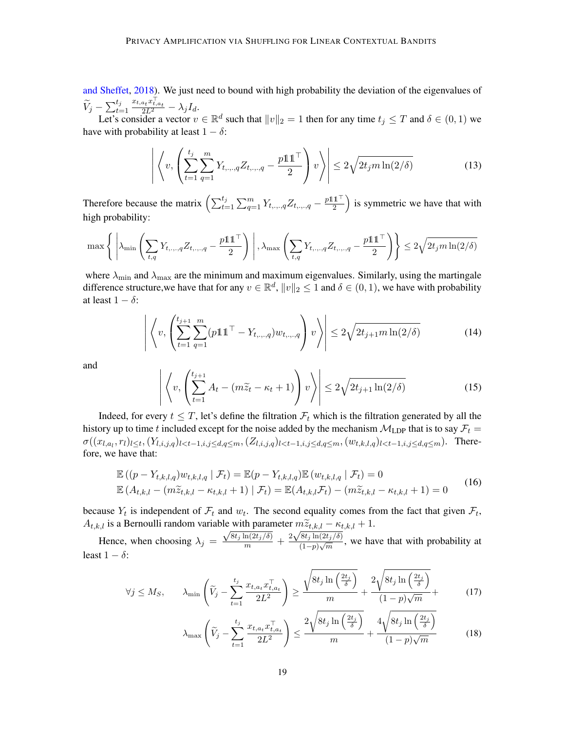[and Sheffet,](#page-14-1) [2018\)](#page-14-1). We just need to bound with high probability the deviation of the eigenvalues of  $\widetilde{V}_j - \sum_{t=1}^{t_j}$  $\frac{x_{t,a_t}x_{t,a_t}^\top}{2L^2} - \lambda_j I_d.$ 

Let's consider a vector  $v \in \mathbb{R}^d$  such that  $||v||_2 = 1$  then for any time  $t_j \leq T$  and  $\delta \in (0, 1)$  we have with probability at least  $1 - \delta$ :

$$
\left| \left\langle v, \left( \sum_{t=1}^{t_j} \sum_{q=1}^m Y_{t,\dots,q} Z_{t,\dots,q} - \frac{p \mathbb{1} \mathbb{1}^\top}{2} \right) v \right\rangle \right| \leq 2 \sqrt{2t_j m \ln(2/\delta)} \tag{13}
$$

Therefore because the matrix  $\left( \sum_{t=1}^{t_j} \sum_{q=1}^m Y_{t, \dots, q} Z_{t, \dots, q} - \frac{p \cdot 1 \cdot 1^{\top}}{2} \right)$  $\left(\frac{1}{2}\right)^{\frac{1}{2}}$  is symmetric we have that with high probability:

$$
\max\left\{\left|\lambda_{\min}\left(\sum_{t,q}Y_{t,\dots,q}Z_{t,\dots,q}-\frac{p\mathbb{1}\mathbb{1}^\top}{2}\right)\right|,\lambda_{\max}\left(\sum_{t,q}Y_{t,\dots,q}Z_{t,\dots,q}-\frac{p\mathbb{1}\mathbb{1}^\top}{2}\right)\right\}\leq 2\sqrt{2t_jm\ln(2/\delta)}
$$

where  $\lambda_{\min}$  and  $\lambda_{\max}$  are the minimum and maximum eigenvalues. Similarly, using the martingale difference structure, we have that for any  $v \in \mathbb{R}^d$ ,  $||v||_2 \leq 1$  and  $\delta \in (0, 1)$ , we have with probability at least  $1 - \delta$ :

$$
\left| \left\langle v, \left( \sum_{t=1}^{t_{j+1}} \sum_{q=1}^{m} (p \mathbb{1} \mathbb{1}^\top - Y_{t,\dots,q}) w_{t,\dots,q} \right) v \right\rangle \right| \leq 2 \sqrt{2t_{j+1} m \ln(2/\delta)} \tag{14}
$$

and

$$
\left| \left\langle v, \left( \sum_{t=1}^{t_{j+1}} A_t - (m \widetilde{z}_t - \kappa_t + 1) \right) v \right\rangle \right| \le 2 \sqrt{2t_{j+1} \ln(2/\delta)} \tag{15}
$$

Indeed, for every  $t \leq T$ , let's define the filtration  $\mathcal{F}_t$  which is the filtration generated by all the history up to time t included except for the noise added by the mechanism  $M_{\text{LDP}}$  that is to say  $\mathcal{F}_t$  =  $\sigma((x_{l,a_l},r_l)_{l\leq t},(Y_{l,i,j,q})_{l There$ fore, we have that:

$$
\mathbb{E}((p - Y_{t,k,l,q})w_{t,k,l,q} | \mathcal{F}_t) = \mathbb{E}(p - Y_{t,k,l,q})\mathbb{E}(w_{t,k,l,q} | \mathcal{F}_t) = 0
$$
  

$$
\mathbb{E}(A_{t,k,l} - (m\widetilde{z}_{t,k,l} - \kappa_{t,k,l} + 1) | \mathcal{F}_t) = \mathbb{E}(A_{t,k,l}\mathcal{F}_t) - (m\widetilde{z}_{t,k,l} - \kappa_{t,k,l} + 1) = 0
$$
 (16)

because  $Y_t$  is independent of  $\mathcal{F}_t$  and  $w_t$ . The second equality comes from the fact that given  $\mathcal{F}_t$ ,  $A_{t,k,l}$  is a Bernoulli random variable with parameter  $m\widetilde{z}_{t,k,l} - \kappa_{t,k,l} + 1$ .

Hence, when choosing  $\lambda_j =$ For White parameter  $m \frac{\sqrt{8t_j \ln(2t_j/\delta)}}{m} + \frac{2\sqrt{8t_j \ln(2t_j/\delta)}}{(1-p)\sqrt{m}}$  $\frac{G(y) \ln(2\ell y/\delta)}{(1-p)\sqrt{m}}$ , we have that with probability at least  $1 - \delta$ :

$$
\forall j \leq M_S, \qquad \lambda_{\min} \left( \widetilde{V}_j - \sum_{t=1}^{t_j} \frac{x_{t, a_t} x_{t, a_t}^\top}{2L^2} \right) \geq \frac{\sqrt{8t_j \ln\left(\frac{2t_j}{\delta}\right)}}{m} + \frac{2\sqrt{8t_j \ln\left(\frac{2t_j}{\delta}\right)}}{(1 - p)\sqrt{m}} + \tag{17}
$$

$$
\lambda_{\max}\left(\widetilde{V}_j - \sum_{t=1}^{t_j} \frac{x_{t,a_t} x_{t,a_t}^\top}{2L^2}\right) \le \frac{2\sqrt{8t_j \ln\left(\frac{2t_j}{\delta}\right)}}{m} + \frac{4\sqrt{8t_j \ln\left(\frac{2t_j}{\delta}\right)}}{(1-p)\sqrt{m}}\tag{18}
$$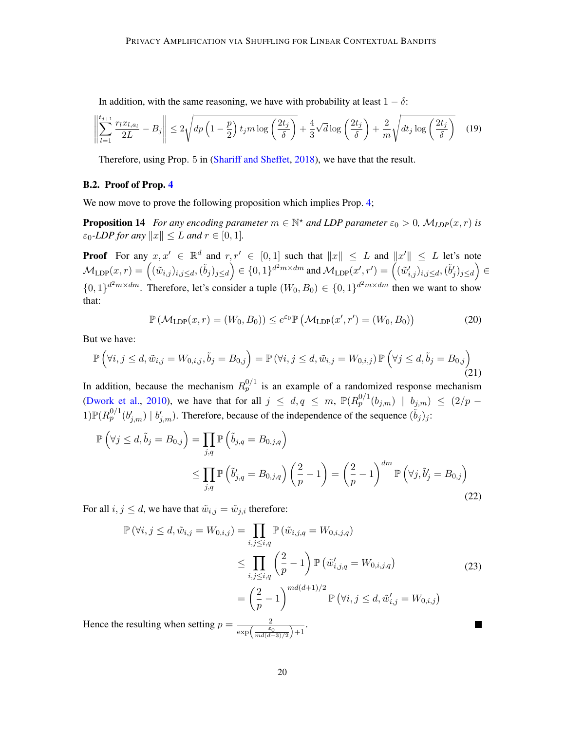In addition, with the same reasoning, we have with probability at least  $1 - \delta$ :

$$
\left\| \sum_{l=1}^{t_{j+1}} \frac{r_l x_{l,a_l}}{2L} - B_j \right\| \le 2\sqrt{dp \left(1 - \frac{p}{2}\right) t_j m \log \left(\frac{2t_j}{\delta}\right)} + \frac{4}{3} \sqrt{d} \log \left(\frac{2t_j}{\delta}\right) + \frac{2}{m} \sqrt{dt_j \log \left(\frac{2t_j}{\delta}\right)} \tag{19}
$$

Therefore, using Prop. 5 in [\(Shariff and Sheffet,](#page-14-1) [2018\)](#page-14-1), we have that the result.

#### B.2. Proof of Prop. [4](#page-7-1)

We now move to prove the following proposition which implies Prop. [4;](#page-7-1)

**Proposition 14** For any encoding parameter  $m \in \mathbb{N}^*$  and LDP parameter  $\varepsilon_0 > 0$ ,  $\mathcal{M}_{LDP}(x, r)$  is  $\varepsilon_0$ -LDP for any  $||x|| \leq L$  and  $r \in [0, 1]$ .

**Proof** For any  $x, x' \in \mathbb{R}^d$  and  $r, r' \in [0, 1]$  such that  $||x|| \leq L$  and  $||x'|| \leq L$  let's note  $\mathcal{M}_{\text{\text{LDP}}}(x,r) = \left((\tilde{w}_{i,j})_{i,j \leq d}, (\tilde{b}_{j})_{j \leq d}\right) \in \{0,1\}^{d^2m \times dm}$  and  $\mathcal{M}_{\text{\text{LDP}}}(x',r') = \left((\tilde{w}'_{i,j})_{i,j \leq d}, (\tilde{b}'_{j})_{j \leq d}\right) \in$  $\{0,1\}^{d^2m \times dm}$ . Therefore, let's consider a tuple  $(W_0, B_0) \in \{0,1\}^{d^2m \times dm}$  then we want to show that:

$$
\mathbb{P}\left(\mathcal{M}_{\text{LDP}}(x,r) = (W_0, B_0)\right) \le e^{\varepsilon_0} \mathbb{P}\left(\mathcal{M}_{\text{LDP}}(x',r') = (W_0, B_0)\right) \tag{20}
$$

But we have:

$$
\mathbb{P}\left(\forall i,j\leq d,\tilde{w}_{i,j}=W_{0,i,j},\tilde{b}_j=B_{0,j}\right)=\mathbb{P}\left(\forall i,j\leq d,\tilde{w}_{i,j}=W_{0,i,j}\right)\mathbb{P}\left(\forall j\leq d,\tilde{b}_j=B_{0,j}\right)
$$
\n(21)

In addition, because the mechanism  $R_p^{0/1}$  is an example of a randomized response mechanism [\(Dwork et al.,](#page-14-11) [2010\)](#page-14-11), we have that for all  $j \le d, q \le m$ ,  $\mathbb{P}(R_p^{0/1}(b_{j,m}) | b_{j,m}) \le (2/p - 1)$  $1)\mathbb{P}(R_p^{0/1}(b'_{j,m}) \mid b'_{j,m})$ . Therefore, because of the independence of the sequence  $(\tilde{b}_j)_j$ :

$$
\mathbb{P}\left(\forall j \le d, \tilde{b}_j = B_{0,j}\right) = \prod_{j,q} \mathbb{P}\left(\tilde{b}_{j,q} = B_{0,j,q}\right)
$$
\n
$$
\le \prod_{j,q} \mathbb{P}\left(\tilde{b}'_{j,q} = B_{0,j,q}\right) \left(\frac{2}{p} - 1\right) = \left(\frac{2}{p} - 1\right)^{dm} \mathbb{P}\left(\forall j, \tilde{b}'_j = B_{0,j}\right)
$$
\n(22)

For all  $i, j \leq d$ , we have that  $\tilde{w}_{i,j} = \tilde{w}_{j,i}$  therefore:

$$
\mathbb{P}(\forall i, j \le d, \tilde{w}_{i,j} = W_{0,i,j}) = \prod_{i,j \le i,q} \mathbb{P}(\tilde{w}_{i,j,q} = W_{0,i,j,q})
$$
\n
$$
\le \prod_{i,j \le i,q} \left(\frac{2}{p} - 1\right) \mathbb{P}(\tilde{w}'_{i,j,q} = W_{0,i,j,q})
$$
\n
$$
= \left(\frac{2}{p} - 1\right)^{md(d+1)/2} \mathbb{P}(\forall i, j \le d, \tilde{w}'_{i,j} = W_{0,i,j})
$$
\nHence the resulting when setting  $p = \frac{2}{\exp\left(\frac{\varepsilon_0}{md(d+3)/2}\right) + 1}$ .

20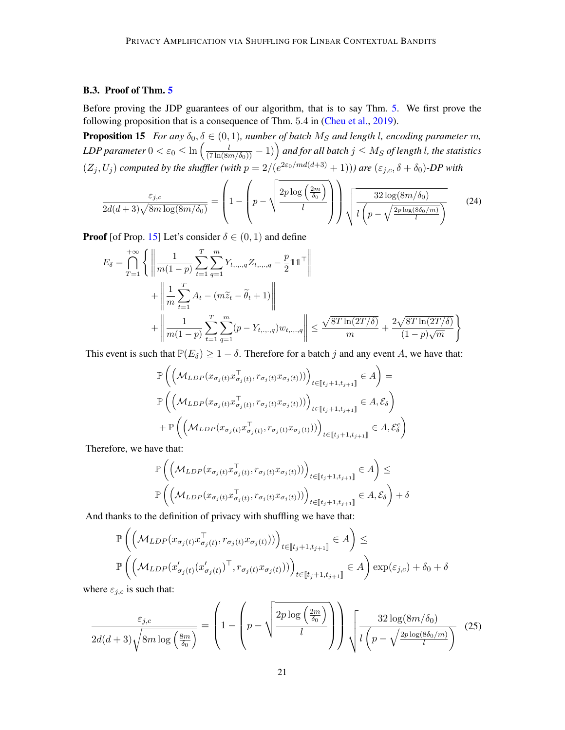## B.3. Proof of Thm. [5](#page-7-0)

Before proving the JDP guarantees of our algorithm, that is to say Thm. [5.](#page-7-0) We first prove the following proposition that is a consequence of Thm. 5.4 in [\(Cheu et al.,](#page-13-5) [2019\)](#page-13-5).

**Proposition 15** *For any*  $\delta_0$ ,  $\delta \in (0, 1)$ *, number of batch*  $M_S$  *and length l, encoding parameter m*,  $LDP$  parameter  $0<\varepsilon_0\leq\ln\left(\frac{l}{(7\ln(8m/\delta_0))}-1)\right)$  and for all batch  $j\leq M_S$  of length l, the statistics  $(Z_j, U_j)$  computed by the shuffler (with  $p = 2/(e^{2\varepsilon_0/md(d+3)} + 1)$ )) are  $(\varepsilon_{j,c}, \delta + \delta_0)$ -DP with

<span id="page-20-0"></span>
$$
\frac{\varepsilon_{j,c}}{2d(d+3)\sqrt{8m\log(8m/\delta_0)}} = \left(1 - \left(p - \sqrt{\frac{2p\log\left(\frac{2m}{\delta_0}\right)}{l}}\right)\right)\sqrt{\frac{32\log(8m/\delta_0)}{l\left(p - \sqrt{\frac{2p\log(8\delta_0/m)}{l}}\right)}}\tag{24}
$$

**Proof** [of Prop. [15\]](#page-20-0) Let's consider  $\delta \in (0, 1)$  and define

$$
E_{\delta} = \bigcap_{T=1}^{+\infty} \left\{ \left\| \frac{1}{m(1-p)} \sum_{t=1}^{T} \sum_{q=1}^{m} Y_{t, ..., q} Z_{t, ..., q} - \frac{p}{2} \mathbf{1} \mathbf{1}^{\top} \right\| \right.+ \left\| \frac{1}{m} \sum_{t=1}^{T} A_t - (m \tilde{z}_t - \tilde{\theta}_t + 1) \right\| + \left\| \frac{1}{m(1-p)} \sum_{t=1}^{T} \sum_{q=1}^{m} (p - Y_{t, ..., q}) w_{t, ..., q} \right\| \leq \frac{\sqrt{8T \ln(2T/\delta)}}{m} + \frac{2\sqrt{8T \ln(2T/\delta)}}{(1-p)\sqrt{m}} \right\}
$$

This event is such that  $\mathbb{P}(E_{\delta}) \geq 1 - \delta$ . Therefore for a batch j and any event A, we have that:

$$
\mathbb{P}\left(\left(\mathcal{M}_{LDP}(x_{\sigma_j(t)}x_{\sigma_j(t)}^{\top}, r_{\sigma_j(t)}x_{\sigma_j(t)}))\right)_{t \in [\![t_j+1, t_{j+1}]\!]} \in A\right) =
$$
\n
$$
\mathbb{P}\left(\left(\mathcal{M}_{LDP}(x_{\sigma_j(t)}x_{\sigma_j(t)}^{\top}, r_{\sigma_j(t)}x_{\sigma_j(t)}))\right)_{t \in [\![t_j+1, t_{j+1}]\!]} \in A, \mathcal{E}_{\delta}\right)
$$
\n
$$
+ \mathbb{P}\left(\left(\mathcal{M}_{LDP}(x_{\sigma_j(t)}x_{\sigma_j(t)}^{\top}, r_{\sigma_j(t)}x_{\sigma_j(t)}))\right)_{t \in [\![t_j+1, t_{j+1}]\!]} \in A, \mathcal{E}_{\delta}^{c}\right)
$$

Therefore, we have that:

$$
\mathbb{P}\left(\left(\mathcal{M}_{LDP}(x_{\sigma_j(t)}x_{\sigma_j(t)}^\top, r_{\sigma_j(t)}x_{\sigma_j(t)}))\right)_{t\in[\![t_j+1,t_{j+1}]\!]} \in A\right) \leq
$$
  

$$
\mathbb{P}\left(\left(\mathcal{M}_{LDP}(x_{\sigma_j(t)}x_{\sigma_j(t)}^\top, r_{\sigma_j(t)}x_{\sigma_j(t)}))\right)_{t\in[\![t_j+1,t_{j+1}]\!]} \in A, \mathcal{E}_{\delta}\right) + \delta
$$

And thanks to the definition of privacy with shuffling we have that:

$$
\mathbb{P}\left(\left(\mathcal{M}_{LDP}(x_{\sigma_j(t)}x_{\sigma_j(t)}^\top, r_{\sigma_j(t)}x_{\sigma_j(t)}))\right)_{t\in[\![t_j+1,t_{j+1}]\!]} \in A\right) \le
$$
  

$$
\mathbb{P}\left(\left(\mathcal{M}_{LDP}(x_{\sigma_j(t)}'(x_{\sigma_j(t)}')^\top, r_{\sigma_j(t)}x_{\sigma_j(t)}))\right)_{t\in[\![t_j+1,t_{j+1}]\!]} \in A\right) \exp(\varepsilon_{j,c}) + \delta_0 + \delta
$$

where  $\varepsilon_{j,c}$  is such that:

$$
\frac{\varepsilon_{j,c}}{2d(d+3)\sqrt{8m\log\left(\frac{8m}{\delta_0}\right)}} = \left(1 - \left(p - \sqrt{\frac{2p\log\left(\frac{2m}{\delta_0}\right)}{l}}\right)\right)\sqrt{\frac{32\log(8m/\delta_0)}{l\left(p - \sqrt{\frac{2p\log(8\delta_0/m)}{l}}\right)}}\tag{25}
$$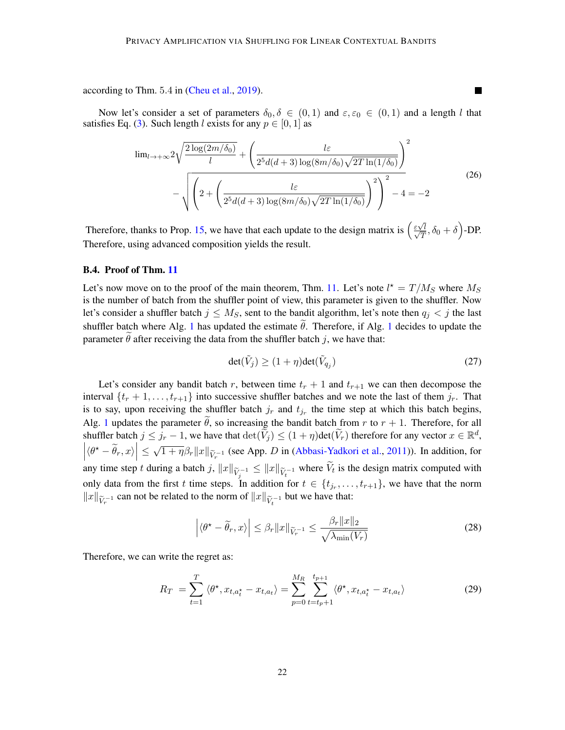according to Thm. 5.4 in [\(Cheu et al.,](#page-13-5) [2019\)](#page-13-5).

Now let's consider a set of parameters  $\delta_0, \delta \in (0,1)$  and  $\varepsilon, \varepsilon_0 \in (0,1)$  and a length l that satisfies Eq. [\(3\)](#page-8-2). Such length l exists for any  $p \in [0, 1]$  as

$$
\lim_{l \to +\infty} 2\sqrt{\frac{2\log(2m/\delta_0)}{l}} + \left(\frac{l\varepsilon}{2^5d(d+3)\log(8m/\delta_0)\sqrt{2T\ln(1/\delta_0)}}\right)^2 - \sqrt{\left(2 + \left(\frac{l\varepsilon}{2^5d(d+3)\log(8m/\delta_0)\sqrt{2T\ln(1/\delta_0)}}\right)^2\right)^2 - 4} = -2
$$
\n(26)

Therefore, thanks to Prop. [15,](#page-20-0) we have that each update to the design matrix is  $\left(\frac{\epsilon \sqrt{m}}{\sqrt{2}}\right)$  $\frac{\varepsilon\sqrt{l}}{2}$  $\frac{\sqrt{l}}{T}, \delta_0 + \delta$ )-DP. Therefore, using advanced composition yields the result.

#### B.4. Proof of Thm. [11](#page-11-2)

Let's now move on to the proof of the main theorem, Thm. [11.](#page-11-2) Let's note  $l^* = T/M_S$  where  $M_S$ is the number of batch from the shuffler point of view, this parameter is given to the shuffler. Now let's consider a shuffler batch  $j \leq M_S$ , sent to the bandit algorithm, let's note then  $q_j < j$  the last shuffler batch where Alg. [1](#page-4-1) has updated the estimate  $\tilde{\theta}$ . Therefore, if Alg. 1 decides to update the parameter  $\hat{\theta}$  after receiving the data from the shuffler batch j, we have that:

$$
\det(\tilde{V}_j) \ge (1 + \eta) \det(\tilde{V}_{q_j}) \tag{27}
$$

Let's consider any bandit batch r, between time  $t_r + 1$  and  $t_{r+1}$  we can then decompose the interval  $\{t_r + 1, \ldots, t_{r+1}\}$  into successive shuffler batches and we note the last of them  $j_r$ . That is to say, upon receiving the shuffler batch  $j_r$  and  $t_{j_r}$  the time step at which this batch begins, Alg. [1](#page-4-1) updates the parameter  $\tilde{\theta}$ , so increasing the bandit batch from r to  $r + 1$ . Therefore, for all shuffler batch  $j \leq j_r - 1$ , we have that  $\det(\widetilde{V}_j) \leq (1 + \eta) \det(\widetilde{V}_r)$  therefore for any vector  $x \in \mathbb{R}^d$ ,  $\left| \langle \theta^* - \tilde{\theta}_r, x \rangle \right| \leq \sqrt{1 + \eta} \beta_r \|x\|_{\tilde{V}_r^{-1}}$  (see App. D in [\(Abbasi-Yadkori et al.,](#page-13-9) [2011\)](#page-13-9)). In addition, for any time step t during a batch j,  $||x||_{\widetilde{V}_j^{-1}} \le ||x||_{\widetilde{V}_t^{-1}}$  where  $V_t$  is the design matrix computed with only data from the first t time steps. In addition for  $t \in \{t_{j_r}, \ldots, t_{r+1}\}$ , we have that the norm  $||x||_{\widetilde{V}_r^{-1}}$  can not be related to the norm of  $||x||_{\widetilde{V}_t^{-1}}$  but we have that:

$$
\left| \langle \theta^* - \widetilde{\theta}_r, x \rangle \right| \le \beta_r \|x\|_{\widetilde{V}_r^{-1}} \le \frac{\beta_r \|x\|_2}{\sqrt{\lambda_{\min}(V_r)}}
$$
(28)

Therefore, we can write the regret as:

$$
R_T = \sum_{t=1}^T \langle \theta^{\star}, x_{t, a_t^{\star}} - x_{t, a_t} \rangle = \sum_{p=0}^{M_R} \sum_{t=t_p+1}^{t_{p+1}} \langle \theta^{\star}, x_{t, a_t^{\star}} - x_{t, a_t} \rangle
$$
(29)

**The State**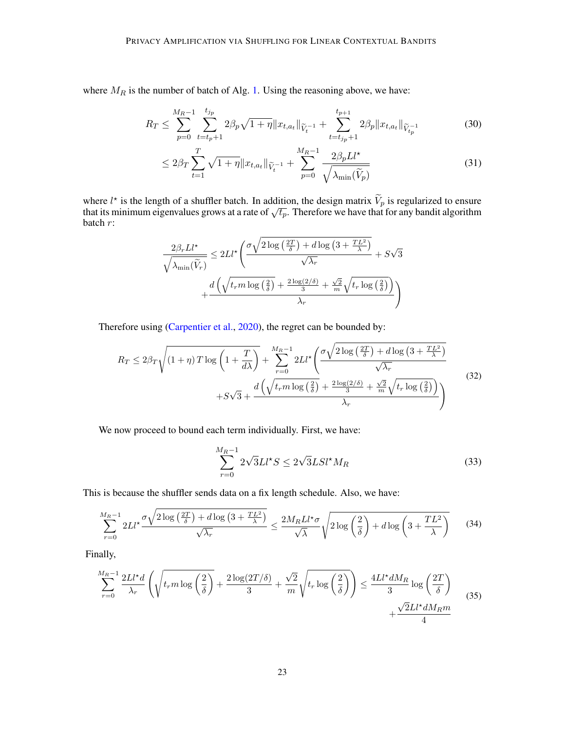where  $M_R$  is the number of batch of Alg. [1.](#page-4-1) Using the reasoning above, we have:

$$
R_T \le \sum_{p=0}^{M_R-1} \sum_{t=t_p+1}^{t_{j_p}} 2\beta_p \sqrt{1+\eta} \|x_{t,a_t}\|_{\widetilde{V}_t^{-1}} + \sum_{t=t_{j_p}+1}^{t_{p+1}} 2\beta_p \|x_{t,a_t}\|_{\widetilde{V}_{t_p}^{-1}}
$$
(30)

$$
\leq 2\beta_T \sum_{t=1}^T \sqrt{1+\eta} \|x_{t,a_t}\|_{\tilde{V}_t^{-1}} + \sum_{p=0}^{M_R-1} \frac{2\beta_p L l^*}{\sqrt{\lambda_{\min}(\tilde{V}_p)}}
$$
(31)

where  $l^*$  is the length of a shuffler batch. In addition, the design matrix  $\widetilde{V}_p$  is regularized to ensure that its minimum eigenvalues grows at a rate of  $\sqrt{t_p}$ . Therefore we have that for any bandit algorithm batch r:

$$
\frac{2\beta_r L l^\star}{\sqrt{\lambda_{\min}(\widetilde{V}_r)}} \leq 2L l^\star \left( \frac{\sigma \sqrt{2\log\left(\frac{2T}{\delta}\right) + d\log\left(3 + \frac{TL^2}{\lambda}\right)}}{\sqrt{\lambda_r}} + S\sqrt{3} + \frac{d\left(\sqrt{t_r m \log\left(\frac{2}{\delta}\right)} + \frac{2\log(2/\delta)}{3} + \frac{\sqrt{2}}{m}\sqrt{t_r \log\left(\frac{2}{\delta}\right)}\right)}{\lambda_r} \right)
$$

Therefore using [\(Carpentier et al.,](#page-13-11) [2020\)](#page-13-11), the regret can be bounded by:

$$
R_T \le 2\beta_T \sqrt{\left(1+\eta\right)T\log\left(1+\frac{T}{d\lambda}\right)} + \sum_{r=0}^{M_R-1} 2Ll^{\star}\left(\frac{\sigma\sqrt{2\log\left(\frac{2T}{\delta}\right)+d\log\left(3+\frac{TL^2}{\lambda}\right)}}{\sqrt{\lambda_r}} + S\sqrt{3} + \frac{d\left(\sqrt{t_r m\log\left(\frac{2}{\delta}\right)} + \frac{2\log(2/\delta)}{3} + \frac{\sqrt{2}}{m}\sqrt{t_r\log\left(\frac{2}{\delta}\right)}\right)}{\lambda_r}\right)
$$
(32)

We now proceed to bound each term individually. First, we have:

$$
\sum_{r=0}^{M_R-1} 2\sqrt{3}LI^{\star}S \le 2\sqrt{3}LSl^{\star}M_R
$$
\n(33)

This is because the shuffler sends data on a fix length schedule. Also, we have:

$$
\sum_{r=0}^{M_R-1} 2Ll^{\star} \frac{\sigma \sqrt{2\log\left(\frac{2T}{\delta}\right) + d\log\left(3 + \frac{TL^2}{\lambda}\right)}}{\sqrt{\lambda_r}} \le \frac{2M_R Ll^{\star} \sigma}{\sqrt{\lambda}} \sqrt{2\log\left(\frac{2}{\delta}\right) + d\log\left(3 + \frac{TL^2}{\lambda}\right)}\tag{34}
$$

Finally,

$$
\sum_{r=0}^{M_R-1} \frac{2Ll^{\star}d}{\lambda_r} \left( \sqrt{t_r m \log\left(\frac{2}{\delta}\right)} + \frac{2\log(2T/\delta)}{3} + \frac{\sqrt{2}}{m} \sqrt{t_r \log\left(\frac{2}{\delta}\right)} \right) \le \frac{4Ll^{\star}dM_R}{3} \log\left(\frac{2T}{\delta}\right)
$$

$$
+ \frac{\sqrt{2}Ll^{\star}dM_Rm}{4}
$$
(35)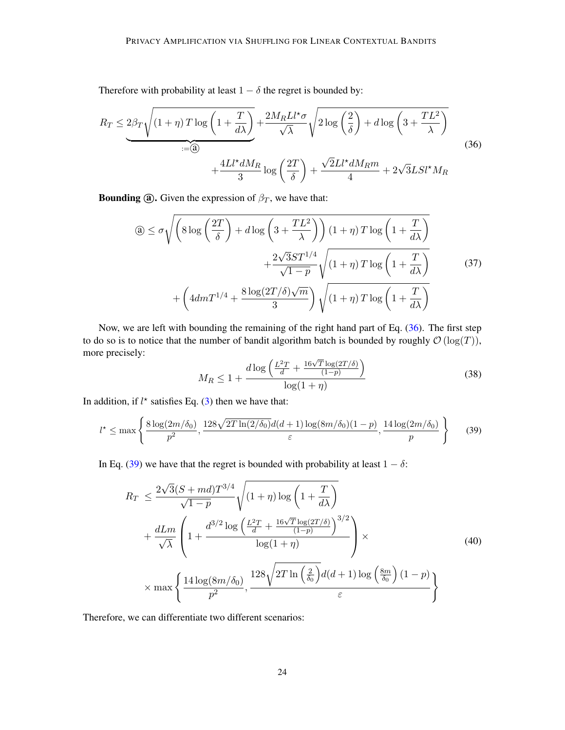Therefore with probability at least  $1 - \delta$  the regret is bounded by:

<span id="page-23-0"></span>
$$
R_T \le 2\beta_T \sqrt{(1+\eta) T \log\left(1+\frac{T}{d\lambda}\right)} + \frac{2M_R L l^* \sigma}{\sqrt{\lambda}} \sqrt{2 \log\left(\frac{2}{\delta}\right)} + d \log\left(3+\frac{TL^2}{\lambda}\right)
$$
  
 
$$
+ \frac{4L l^* dM_R}{3} \log\left(\frac{2T}{\delta}\right) + \frac{\sqrt{2}L l^* dM_R m}{4} + 2\sqrt{3}L S l^* M_R
$$
 (36)

**Bounding (a).** Given the expression of  $\beta_T$ , we have that:

$$
\begin{aligned}\n\text{(a)} &\leq \sigma \sqrt{\left(8\log\left(\frac{2T}{\delta}\right) + d\log\left(3 + \frac{TL^2}{\lambda}\right)\right)(1 + \eta)T\log\left(1 + \frac{T}{d\lambda}\right)} \\
&\quad + \frac{2\sqrt{3}ST^{1/4}}{\sqrt{1 - p}}\sqrt{(1 + \eta)T\log\left(1 + \frac{T}{d\lambda}\right)} \\
&\quad + \left(4dmT^{1/4} + \frac{8\log(2T/\delta)\sqrt{m}}{3}\right)\sqrt{(1 + \eta)T\log\left(1 + \frac{T}{d\lambda}\right)}\n\end{aligned}
$$
\n
$$
(37)
$$

Now, we are left with bounding the remaining of the right hand part of Eq. [\(36\)](#page-23-0). The first step to do so is to notice that the number of bandit algorithm batch is bounded by roughly  $\mathcal{O}(\log(T))$ , more precisely:

$$
M_R \le 1 + \frac{d \log \left( \frac{L^2 T}{d} + \frac{16\sqrt{T} \log(2T/\delta)}{(1-p)} \right)}{\log(1+\eta)}
$$
(38)

In addition, if  $l^*$  satisfies Eq. [\(3\)](#page-8-2) then we have that:

<span id="page-23-1"></span>
$$
l^* \le \max\left\{\frac{8\log(2m/\delta_0)}{p^2}, \frac{128\sqrt{2T\ln(2/\delta_0)}d(d+1)\log(8m/\delta_0)(1-p)}{\varepsilon}, \frac{14\log(2m/\delta_0)}{p}\right\}
$$
(39)

In Eq. [\(39\)](#page-23-1) we have that the regret is bounded with probability at least  $1 - \delta$ :

$$
R_T \le \frac{2\sqrt{3}(S+md)T^{3/4}}{\sqrt{1-p}} \sqrt{(1+\eta)\log\left(1+\frac{T}{d\lambda}\right)}
$$
  
+ 
$$
\frac{dLm}{\sqrt{\lambda}} \left(1+\frac{d^{3/2}\log\left(\frac{L^2T}{d}+\frac{16\sqrt{T}\log(2T/\delta)}{(1-p)}\right)^{3/2}}{\log(1+\eta)}\right) \times \max\left\{\frac{14\log(8m/\delta_0)}{p^2}, \frac{128\sqrt{2T\ln\left(\frac{2}{\delta_0}\right)}d(d+1)\log\left(\frac{8m}{\delta_0}\right)(1-p)}{\varepsilon}\right\}
$$
(40)

Therefore, we can differentiate two different scenarios: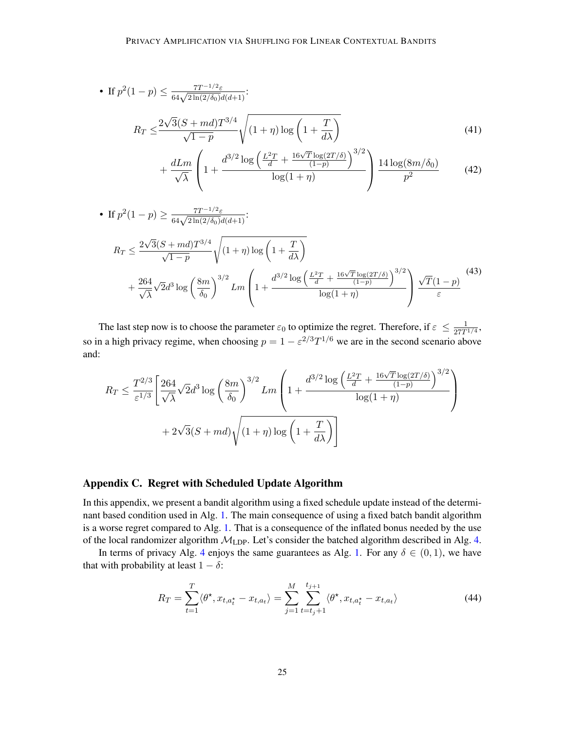• If 
$$
p^2(1-p) \le \frac{7T^{-1/2}\varepsilon}{64\sqrt{2\ln(2/\delta_0)}d(d+1)}
$$
:  
\n
$$
R_T \le \frac{2\sqrt{3}(S+md)T^{3/4}}{\sqrt{1-p}}\sqrt{(1+\eta)\log\left(1+\frac{T}{d\lambda}\right)}
$$
\n
$$
+\frac{dLm}{\sqrt{\lambda}}\left(1+\frac{d^{3/2}\log\left(\frac{L^2T}{d}+\frac{16\sqrt{T}\log(2T/\delta)}{(1-p)}\right)^{3/2}}{\log(1+\eta)}\right)\frac{14\log(8m/\delta_0)}{p^2}
$$
\n(42)

• If 
$$
p^2(1-p) \ge \frac{7T^{-1/2}\varepsilon}{64\sqrt{2\ln(2/\delta_0)}d(d+1)}
$$
:  
\n
$$
R_T \le \frac{2\sqrt{3}(S+md)T^{3/4}}{\sqrt{1-p}}\sqrt{(1+\eta)\log\left(1+\frac{T}{d\lambda}\right)} + \frac{264}{\sqrt{\lambda}}\sqrt{2}d^3\log\left(\frac{8m}{\delta_0}\right)^{3/2}Lm\left(1+\frac{d^{3/2}\log\left(\frac{L^2T}{d}+\frac{16\sqrt{T}\log(2T/\delta)}{(1-p)}\right)^{3/2}}{\log(1+\eta)}\right)\frac{\sqrt{T}(1-p)}{\varepsilon}
$$
\n
$$
(43)
$$

The last step now is to choose the parameter  $\varepsilon_0$  to optimize the regret. Therefore, if  $\varepsilon \leq \frac{1}{27T}$  $\frac{1}{27T^{1/4}}$ so in a high privacy regime, when choosing  $p = 1 - \varepsilon^{2/3} T^{1/6}$  we are in the second scenario above and:

$$
R_T \le \frac{T^{2/3}}{\varepsilon^{1/3}} \left[ \frac{264}{\sqrt{\lambda}} \sqrt{2} d^3 \log \left( \frac{8m}{\delta_0} \right)^{3/2} Lm \left( 1 + \frac{d^{3/2} \log \left( \frac{L^2 T}{d} + \frac{16\sqrt{T} \log(2T/\delta)}{(1-p)} \right)^{3/2}}{\log(1+\eta)} \right) + 2\sqrt{3}(S + md) \sqrt{(1+\eta) \log \left( 1 + \frac{T}{d\lambda} \right)} \right]
$$

## <span id="page-24-0"></span>Appendix C. Regret with Scheduled Update Algorithm

In this appendix, we present a bandit algorithm using a fixed schedule update instead of the determinant based condition used in Alg. [1.](#page-4-1) The main consequence of using a fixed batch bandit algorithm is a worse regret compared to Alg. [1.](#page-4-1) That is a consequence of the inflated bonus needed by the use of the local randomizer algorithm  $M_{\text{LDP}}$ . Let's consider the batched algorithm described in Alg. [4.](#page-25-0)

In terms of privacy Alg. [4](#page-25-0) enjoys the same guarantees as Alg. [1.](#page-4-1) For any  $\delta \in (0,1)$ , we have that with probability at least  $1 - \delta$ :

$$
R_T = \sum_{t=1}^T \langle \theta^*, x_{t,a_t^*} - x_{t,a_t} \rangle = \sum_{j=1}^M \sum_{t=t_j+1}^{t_{j+1}} \langle \theta^*, x_{t,a_t^*} - x_{t,a_t} \rangle \tag{44}
$$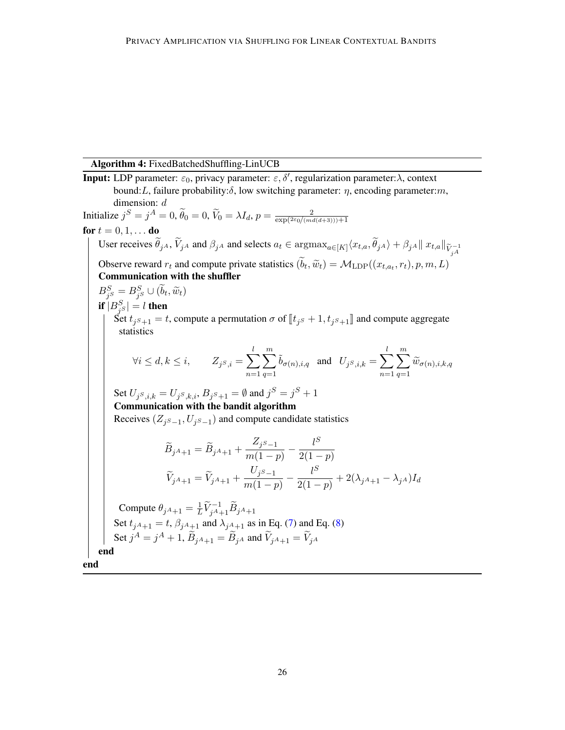## Algorithm 4: FixedBatchedShuffling-LinUCB

<span id="page-25-0"></span>**Input:** LDP parameter:  $\varepsilon_0$ , privacy parameter:  $\varepsilon, \delta'$ , regularization parameter: $\lambda$ , context bound: L, failure probability:  $\delta$ , low switching parameter:  $\eta$ , encoding parameter:  $m$ , dimension: d Initialize  $j^S = j^A = 0$ ,  $\widetilde{\theta}_0 = 0$ ,  $\widetilde{V}_0 = \lambda I_d$ ,  $p = \frac{2}{\exp(2\varepsilon_0/(ma))}$  $\exp(2\varepsilon_0/(md(d+3))) + 1$ for  $t = 0, 1, ...$  do User receives  $\theta_{jA}$ ,  $V_{jA}$  and  $\beta_{jA}$  and selects  $a_t \in \text{argmax}_{a \in [K]} \langle x_{t,a}, \theta_{jA} \rangle + \beta_{jA} || x_{t,a} ||_{\widetilde{V}_{jA}^{-1}}$ Observe reward  $r_t$  and compute private statistics  $(b_t, \tilde{w}_t) = \mathcal{M}_{\text{LDP}}((x_{t,a_t}, r_t), p, m, L)$ <br>Communication with the shufflor Communication with the shuffler  $B_{j^S}^S = B_{j^S}^S \cup (\tilde{b}_t, \tilde{w}_t)$ if  $|B_{j^S}^S|=l$  then Set  $t_{j^s+1} = t$ , compute a permutation  $\sigma$  of  $[[t_{j^s}+1, t_{j^s+1}]]$  and compute aggregate statistics  $\forall i \leq d, k \leq i, \qquad Z_{j^S,i} = \sum$ l  $n=1$  $\sum_{i=1}^{m}$  $q=1$  $\tilde{b}_{\sigma(n),i,q}$  and  $U_{j^S,i,k} = \sum$ l  $n=1$  $\sum_{i=1}^{m}$  $\sum_{q=1} \widetilde{w}_{\sigma(n),i,k,q}$ Set  $U_{j^S,i,k} = U_{j^S,k,i}, B_{j^S+1} = \emptyset$  and  $j^S = j^S + 1$ Communication with the bandit algorithm Receives  $(Z_j s_{-1}, U_j s_{-1})$  and compute candidate statistics  $B_{jA+1} = B_{jA+1} +$  $Z_{j^S-1}$  $\frac{Z_{jS-1}}{m(1-p)} - \frac{l^S}{2(1-p)}$  $2(1-p)$  $V_{jA+1} = V_{jA+1} +$  $U_j s_{-1}$  $\frac{U_j s_{-1}}{m(1-p)} - \frac{l^S}{2(1-p)}$  $\frac{1}{2(1-p)}+2(\lambda_{jA+1}-\lambda_{jA})I_d$ Compute  $\theta_{j^A+1} = \frac{1}{L}$  $\frac{1}{L}\widetilde{V}_{j^A+1}^{-1}\widetilde{B}_{j^A+1}$ Set  $t_{jA+1} = t$ ,  $\beta_{jA+1}$  and  $\lambda_{jA+1}$  as in Eq. [\(7\)](#page-10-0) and Eq. [\(8\)](#page-11-0) Set  $j^A = j^A + 1$ ,  $\widetilde{B}_{jA+1} = \widetilde{B}_{jA}$  and  $\widetilde{V}_{jA+1} = \widetilde{V}_{jA}$ end end